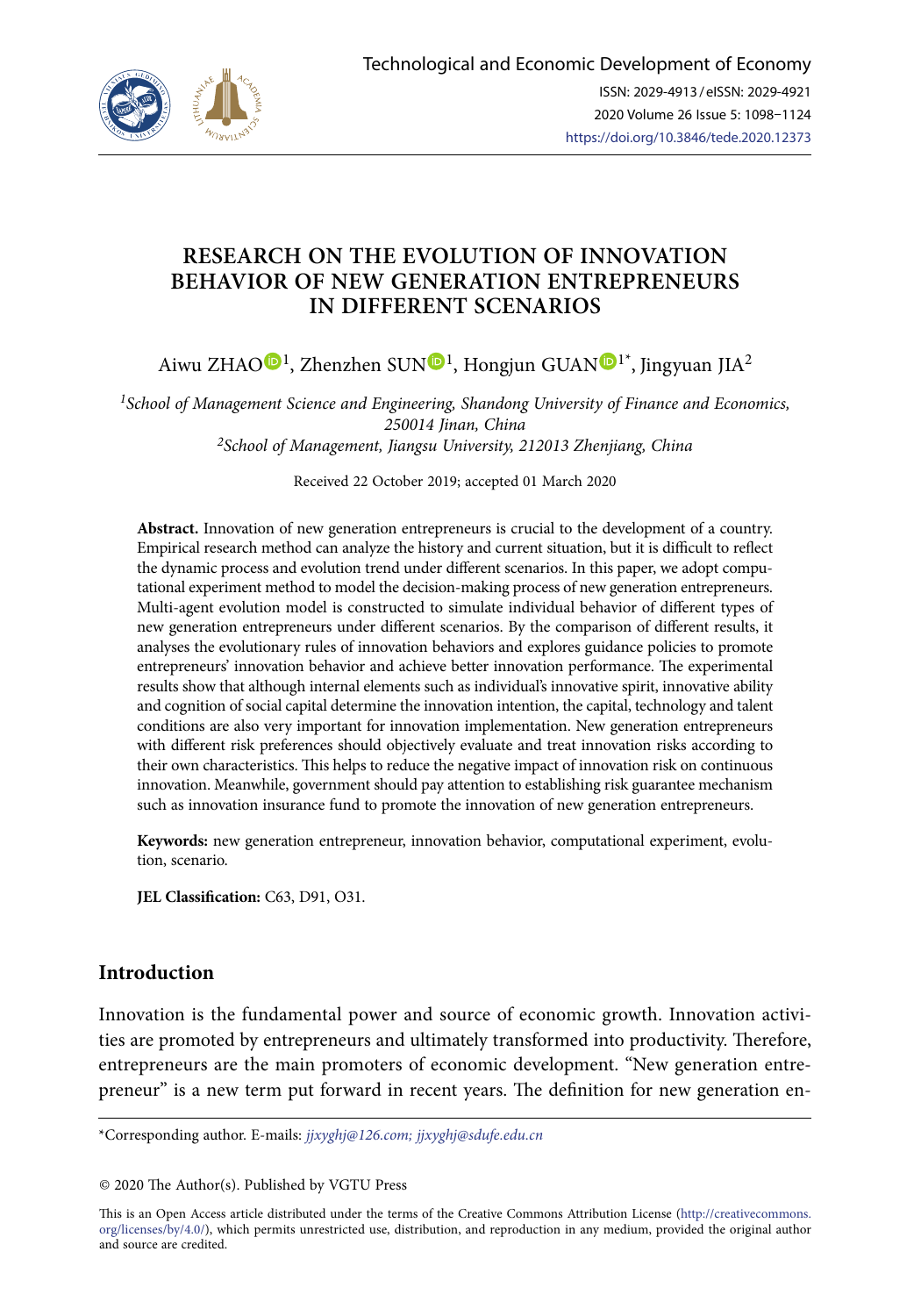

# **RESEARCH ON THE EVOLUTION OF INNOVATION BEHAVIOR OF NEW GENERATION ENTREPRENEURS IN DIFFERENT SCENARIOS**

Aiwu ZHA[O](https://orcid.org/0000-0002-3981-6811) $\mathbf{D}^1$  $\mathbf{D}^1$ , Zhenzhen SU[N](https://orcid.org/0000-0001-7335-5871) $\mathbf{D}^1$ , Hongjun GUAN $\mathbf{D}^{1*}$ , Jingyuan JIA<sup>2</sup>

*1School of Management Science and Engineering, Shandong University of Finance and Economics, 250014 Jinan, China 2School of Management, Jiangsu University, 212013 Zhenjiang, China*

Received 22 October 2019; accepted 01 March 2020

**Abstract.** Innovation of new generation entrepreneurs is crucial to the development of a country. Empirical research method can analyze the history and current situation, but it is difficult to reflect the dynamic process and evolution trend under different scenarios. In this paper, we adopt computational experiment method to model the decision-making process of new generation entrepreneurs. Multi-agent evolution model is constructed to simulate individual behavior of different types of new generation entrepreneurs under different scenarios. By the comparison of different results, it analyses the evolutionary rules of innovation behaviors and explores guidance policies to promote entrepreneurs' innovation behavior and achieve better innovation performance. The experimental results show that although internal elements such as individual's innovative spirit, innovative ability and cognition of social capital determine the innovation intention, the capital, technology and talent conditions are also very important for innovation implementation. New generation entrepreneurs with different risk preferences should objectively evaluate and treat innovation risks according to their own characteristics. This helps to reduce the negative impact of innovation risk on continuous innovation. Meanwhile, government should pay attention to establishing risk guarantee mechanism such as innovation insurance fund to promote the innovation of new generation entrepreneurs.

**Keywords:** new generation entrepreneur, innovation behavior, computational experiment, evolution, scenario.

**JEL Classification:** C63, D91, O31.

# **Introduction**

Innovation is the fundamental power and source of economic growth. Innovation activities are promoted by entrepreneurs and ultimately transformed into productivity. Therefore, entrepreneurs are the main promoters of economic development. "New generation entrepreneur" is a new term put forward in recent years. The definition for new generation en-

\*Corresponding author. E-mails: *[jjxyghj@126.com](mailto:jjxyghj@126.com); jjxyghj@sdufe.edu.cn*

© 2020 The Author(s). Published by VGTU Press

This is an Open Access article distributed under the terms of the Creative Commons Attribution License ([http://creativecommons.](http://dx.doi.org/10.1016/S0377-2217(03)00091-2) [org/licenses/by/4.0/\)](http://dx.doi.org/10.1016/S0377-2217(03)00091-2), which permits unrestricted use, distribution, and reproduction in any medium, provided the original author and source are credited.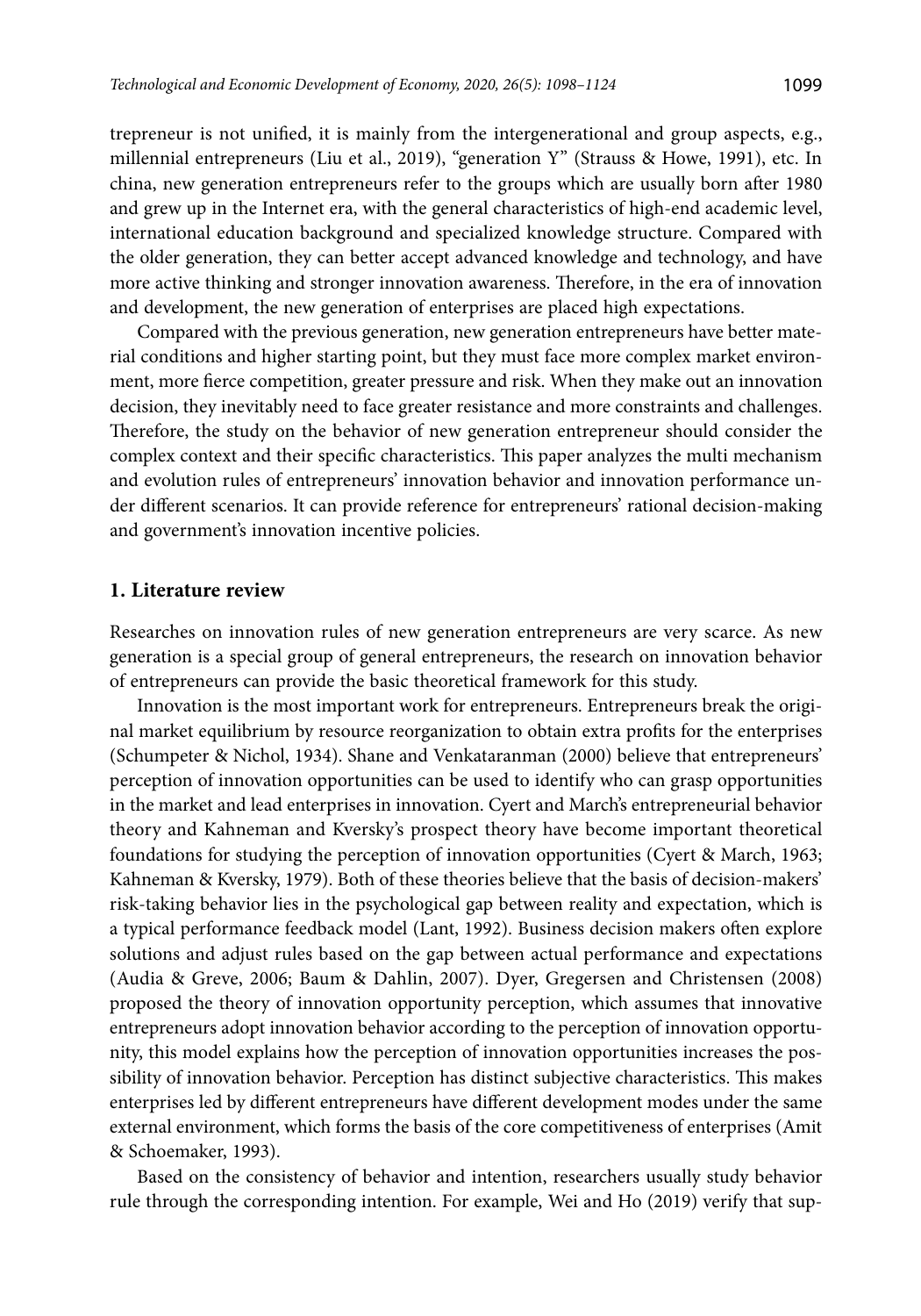trepreneur is not unified, it is mainly from the intergenerational and group aspects, e.g., millennial entrepreneurs (Liu et al., 2019), "generation Y" (Strauss & Howe, 1991), etc. In china, new generation entrepreneurs refer to the groups which are usually born after 1980 and grew up in the Internet era, with the general characteristics of high-end academic level, international education background and specialized knowledge structure. Compared with the older generation, they can better accept advanced knowledge and technology, and have more active thinking and stronger innovation awareness. Therefore, in the era of innovation and development, the new generation of enterprises are placed high expectations.

Compared with the previous generation, new generation entrepreneurs have better material conditions and higher starting point, but they must face more complex market environment, more fierce competition, greater pressure and risk. When they make out an innovation decision, they inevitably need to face greater resistance and more constraints and challenges. Therefore, the study on the behavior of new generation entrepreneur should consider the complex context and their specific characteristics. This paper analyzes the multi mechanism and evolution rules of entrepreneurs' innovation behavior and innovation performance under different scenarios. It can provide reference for entrepreneurs' rational decision-making and government's innovation incentive policies.

### **1. Literature review**

Researches on innovation rules of new generation entrepreneurs are very scarce. As new generation is a special group of general entrepreneurs, the research on innovation behavior of entrepreneurs can provide the basic theoretical framework for this study.

Innovation is the most important work for entrepreneurs. Entrepreneurs break the original market equilibrium by resource reorganization to obtain extra profits for the enterprises (Schumpeter & Nichol, 1934). Shane and Venkataranman (2000) believe that entrepreneurs' perception of innovation opportunities can be used to identify who can grasp opportunities in the market and lead enterprises in innovation. Cyert and March's entrepreneurial behavior theory and Kahneman and Kversky's prospect theory have become important theoretical foundations for studying the perception of innovation opportunities (Cyert & March, 1963; Kahneman & Kversky, 1979). Both of these theories believe that the basis of decision-makers' risk-taking behavior lies in the psychological gap between reality and expectation, which is a typical performance feedback model (Lant, 1992). Business decision makers often explore solutions and adjust rules based on the gap between actual performance and expectations (Audia & Greve, 2006; Baum & Dahlin, 2007). Dyer, Gregersen and Christensen (2008) proposed the theory of innovation opportunity perception, which assumes that innovative entrepreneurs adopt innovation behavior according to the perception of innovation opportunity, this model explains how the perception of innovation opportunities increases the possibility of innovation behavior. Perception has distinct subjective characteristics. This makes enterprises led by different entrepreneurs have different development modes under the same external environment, which forms the basis of the core competitiveness of enterprises (Amit & Schoemaker, 1993).

Based on the consistency of behavior and intention, researchers usually study behavior rule through the corresponding intention. For example, Wei and Ho (2019) verify that sup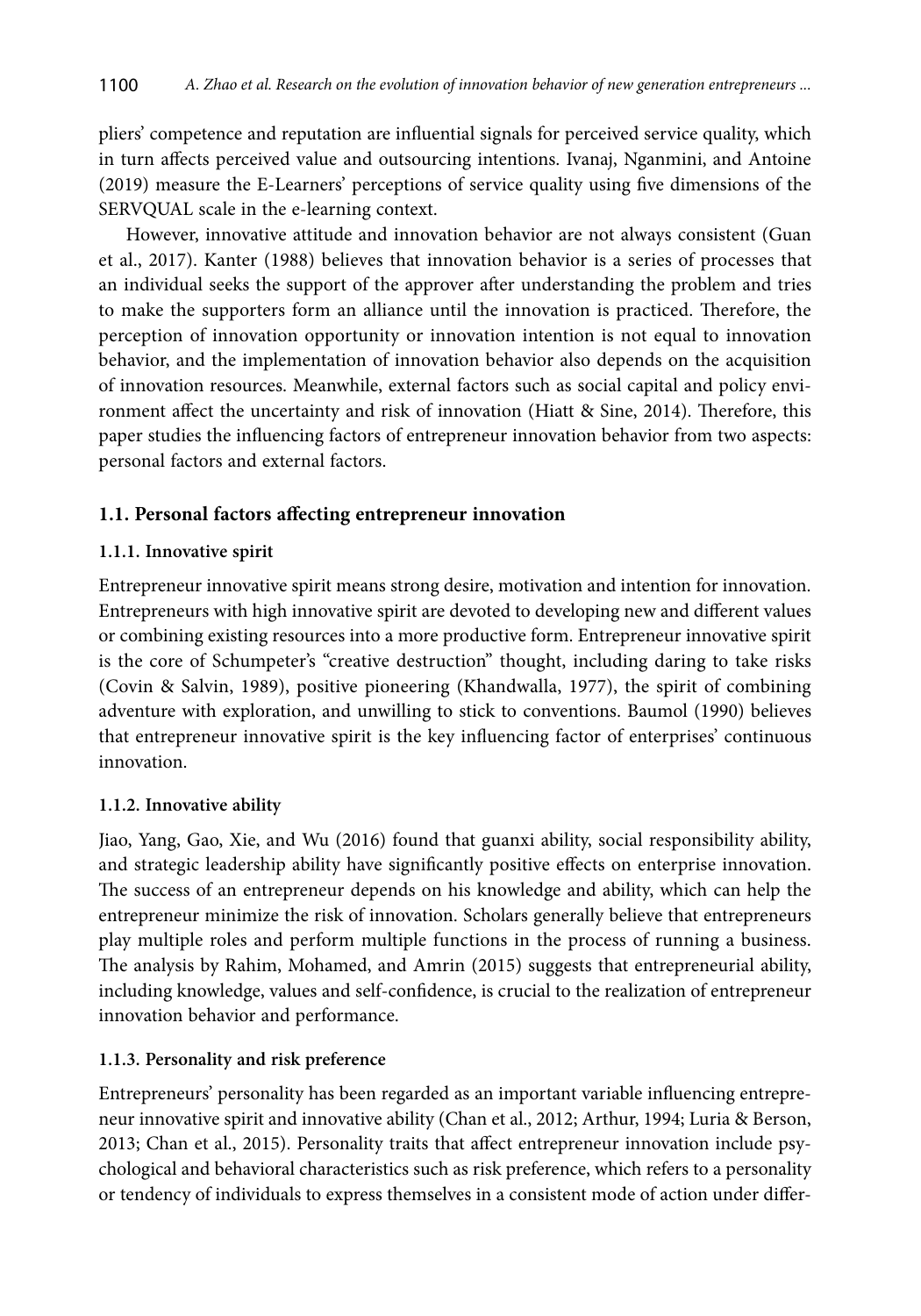pliers' competence and reputation are influential signals for perceived service quality, which in turn affects perceived value and outsourcing intentions. Ivanaj, Nganmini, and Antoine (2019) measure the E-Learners' perceptions of service quality using five dimensions of the SERVQUAL scale in the e-learning context.

However, innovative attitude and innovation behavior are not always consistent (Guan et al., 2017). Kanter (1988) believes that innovation behavior is a series of processes that an individual seeks the support of the approver after understanding the problem and tries to make the supporters form an alliance until the innovation is practiced. Therefore, the perception of innovation opportunity or innovation intention is not equal to innovation behavior, and the implementation of innovation behavior also depends on the acquisition of innovation resources. Meanwhile, external factors such as social capital and policy environment affect the uncertainty and risk of innovation (Hiatt & Sine, 2014). Therefore, this paper studies the influencing factors of entrepreneur innovation behavior from two aspects: personal factors and external factors.

# **1.1. Personal factors affecting entrepreneur innovation**

# **1.1.1. Innovative spirit**

Entrepreneur innovative spirit means strong desire, motivation and intention for innovation. Entrepreneurs with high innovative spirit are devoted to developing new and different values or combining existing resources into a more productive form. Entrepreneur innovative spirit is the core of Schumpeter's "creative destruction" thought, including daring to take risks (Covin & Salvin, 1989), positive pioneering (Khandwalla, 1977), the spirit of combining adventure with exploration, and unwilling to stick to conventions. Baumol (1990) believes that entrepreneur innovative spirit is the key influencing factor of enterprises' continuous innovation.

## **1.1.2. Innovative ability**

Jiao, Yang, Gao, Xie, and Wu (2016) found that guanxi ability, social responsibility ability, and strategic leadership ability have significantly positive effects on enterprise innovation. The success of an entrepreneur depends on his knowledge and ability, which can help the entrepreneur minimize the risk of innovation. Scholars generally believe that entrepreneurs play multiple roles and perform multiple functions in the process of running a business. The analysis by Rahim, Mohamed, and Amrin (2015) suggests that entrepreneurial ability, including knowledge, values and self-confidence, is crucial to the realization of entrepreneur innovation behavior and performance.

# **1.1.3. Personality and risk preference**

Entrepreneurs' personality has been regarded as an important variable influencing entrepreneur innovative spirit and innovative ability (Chan et al., 2012; Arthur, 1994; Luria & Berson, 2013; Chan et al., 2015). Personality traits that affect entrepreneur innovation include psychological and behavioral characteristics such as risk preference, which refers to a personality or tendency of individuals to express themselves in a consistent mode of action under differ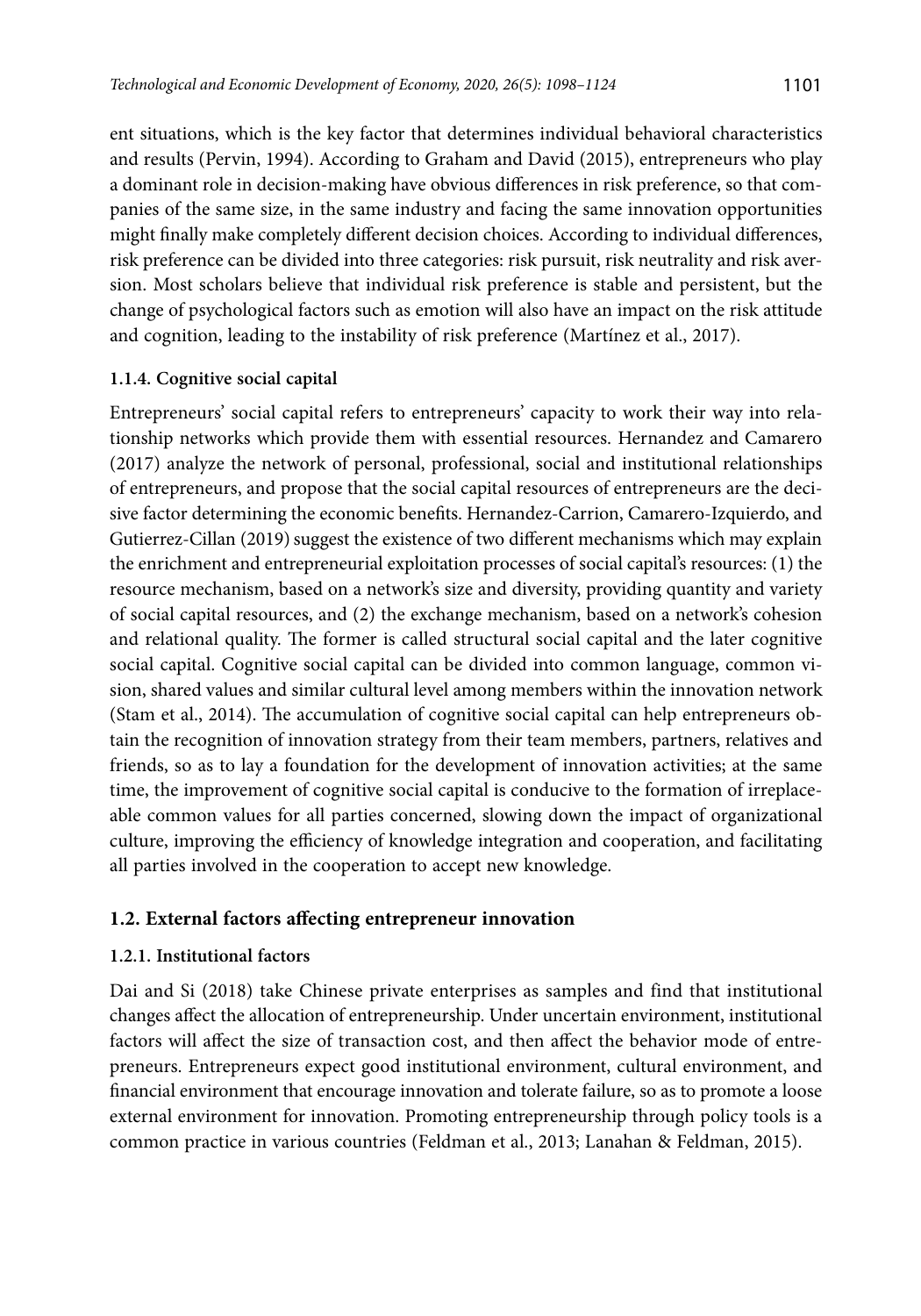ent situations, which is the key factor that determines individual behavioral characteristics and results (Pervin, 1994). According to Graham and David (2015), entrepreneurs who play a dominant role in decision-making have obvious differences in risk preference, so that companies of the same size, in the same industry and facing the same innovation opportunities might finally make completely different decision choices. According to individual differences, risk preference can be divided into three categories: risk pursuit, risk neutrality and risk aversion. Most scholars believe that individual risk preference is stable and persistent, but the change of psychological factors such as emotion will also have an impact on the risk attitude and cognition, leading to the instability of risk preference (Martínez et al., 2017).

## **1.1.4. Cognitive social capital**

Entrepreneurs' social capital refers to entrepreneurs' capacity to work their way into relationship networks which provide them with essential resources. Hernandez and Camarero (2017) analyze the network of personal, professional, social and institutional relationships of entrepreneurs, and propose that the social capital resources of entrepreneurs are the decisive factor determining the economic benefits. Hernandez-Carrion, Camarero-Izquierdo, and Gutierrez-Cillan (2019) suggest the existence of two different mechanisms which may explain the enrichment and entrepreneurial exploitation processes of social capital's resources: (1) the resource mechanism, based on a network's size and diversity, providing quantity and variety of social capital resources, and (2) the exchange mechanism, based on a network's cohesion and relational quality. The former is called structural social capital and the later cognitive social capital. Cognitive social capital can be divided into common language, common vision, shared values and similar cultural level among members within the innovation network (Stam et al., 2014). The accumulation of cognitive social capital can help entrepreneurs obtain the recognition of innovation strategy from their team members, partners, relatives and friends, so as to lay a foundation for the development of innovation activities; at the same time, the improvement of cognitive social capital is conducive to the formation of irreplaceable common values for all parties concerned, slowing down the impact of organizational culture, improving the efficiency of knowledge integration and cooperation, and facilitating all parties involved in the cooperation to accept new knowledge.

# **1.2. External factors affecting entrepreneur innovation**

## **1.2.1. Institutional factors**

Dai and Si (2018) take Chinese private enterprises as samples and find that institutional changes affect the allocation of entrepreneurship. Under uncertain environment, institutional factors will affect the size of transaction cost, and then affect the behavior mode of entrepreneurs. Entrepreneurs expect good institutional environment, cultural environment, and financial environment that encourage innovation and tolerate failure, so as to promote a loose external environment for innovation. Promoting entrepreneurship through policy tools is a common practice in various countries (Feldman et al., 2013; Lanahan & Feldman, 2015).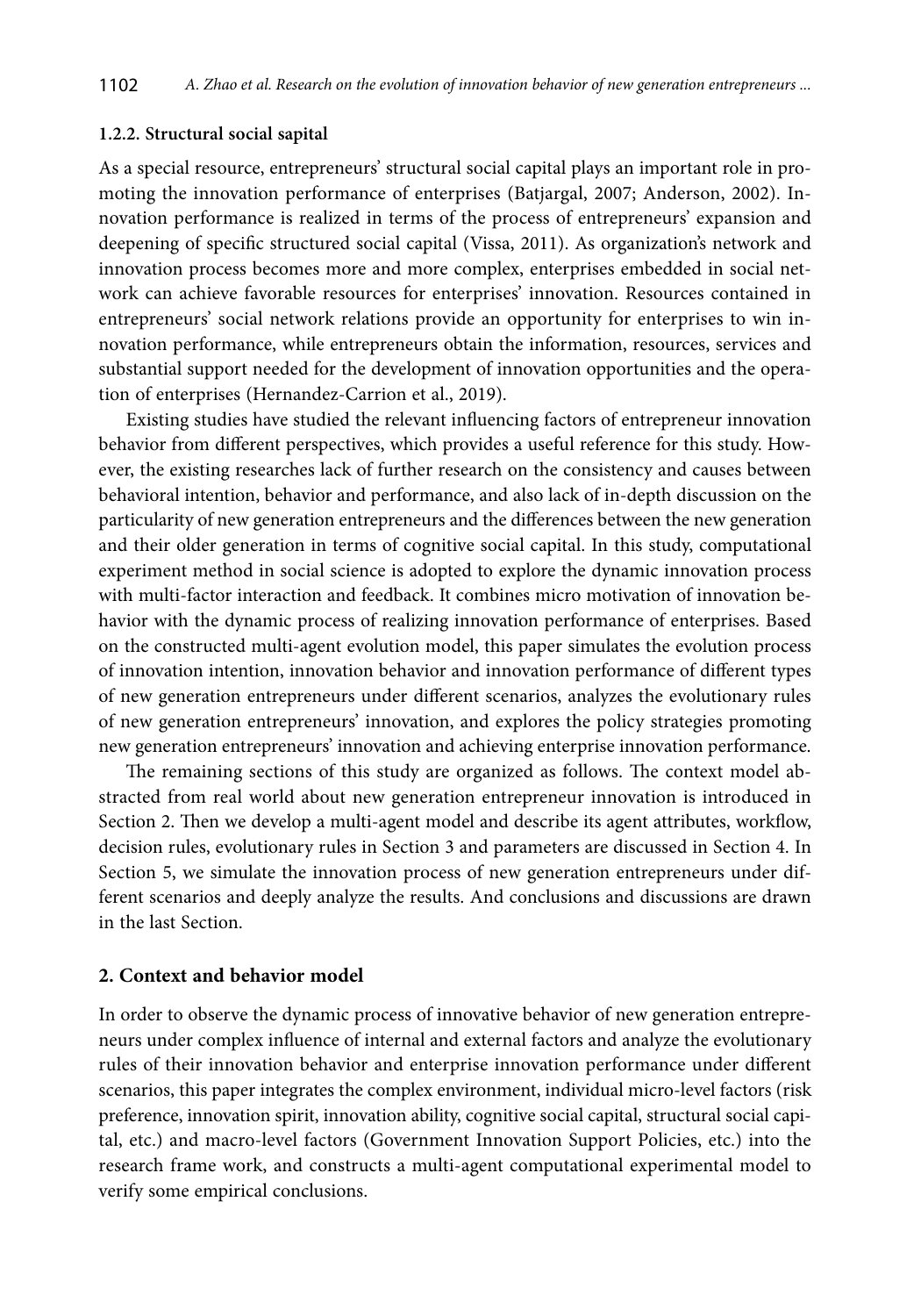#### **1.2.2. Structural social sapital**

As a special resource, entrepreneurs' structural social capital plays an important role in promoting the innovation performance of enterprises (Batjargal, 2007; Anderson, 2002). Innovation performance is realized in terms of the process of entrepreneurs' expansion and deepening of specific structured social capital (Vissa, 2011). As organization's network and innovation process becomes more and more complex, enterprises embedded in social network can achieve favorable resources for enterprises' innovation. Resources contained in entrepreneurs' social network relations provide an opportunity for enterprises to win innovation performance, while entrepreneurs obtain the information, resources, services and substantial support needed for the development of innovation opportunities and the operation of enterprises (Hernandez-Carrion et al., 2019).

Existing studies have studied the relevant influencing factors of entrepreneur innovation behavior from different perspectives, which provides a useful reference for this study. However, the existing researches lack of further research on the consistency and causes between behavioral intention, behavior and performance, and also lack of in-depth discussion on the particularity of new generation entrepreneurs and the differences between the new generation and their older generation in terms of cognitive social capital. In this study, computational experiment method in social science is adopted to explore the dynamic innovation process with multi-factor interaction and feedback. It combines micro motivation of innovation behavior with the dynamic process of realizing innovation performance of enterprises. Based on the constructed multi-agent evolution model, this paper simulates the evolution process of innovation intention, innovation behavior and innovation performance of different types of new generation entrepreneurs under different scenarios, analyzes the evolutionary rules of new generation entrepreneurs' innovation, and explores the policy strategies promoting new generation entrepreneurs' innovation and achieving enterprise innovation performance.

The remaining sections of this study are organized as follows. The context model abstracted from real world about new generation entrepreneur innovation is introduced in Section 2. Then we develop a multi-agent model and describe its agent attributes, workflow, decision rules, evolutionary rules in Section 3 and parameters are discussed in Section 4. In Section 5, we simulate the innovation process of new generation entrepreneurs under different scenarios and deeply analyze the results. And conclusions and discussions are drawn in the last Section.

### **2. Context and behavior model**

In order to observe the dynamic process of innovative behavior of new generation entrepreneurs under complex influence of internal and external factors and analyze the evolutionary rules of their innovation behavior and enterprise innovation performance under different scenarios, this paper integrates the complex environment, individual micro-level factors (risk preference, innovation spirit, innovation ability, cognitive social capital, structural social capital, etc.) and macro-level factors (Government Innovation Support Policies, etc.) into the research frame work, and constructs a multi-agent computational experimental model to verify some empirical conclusions.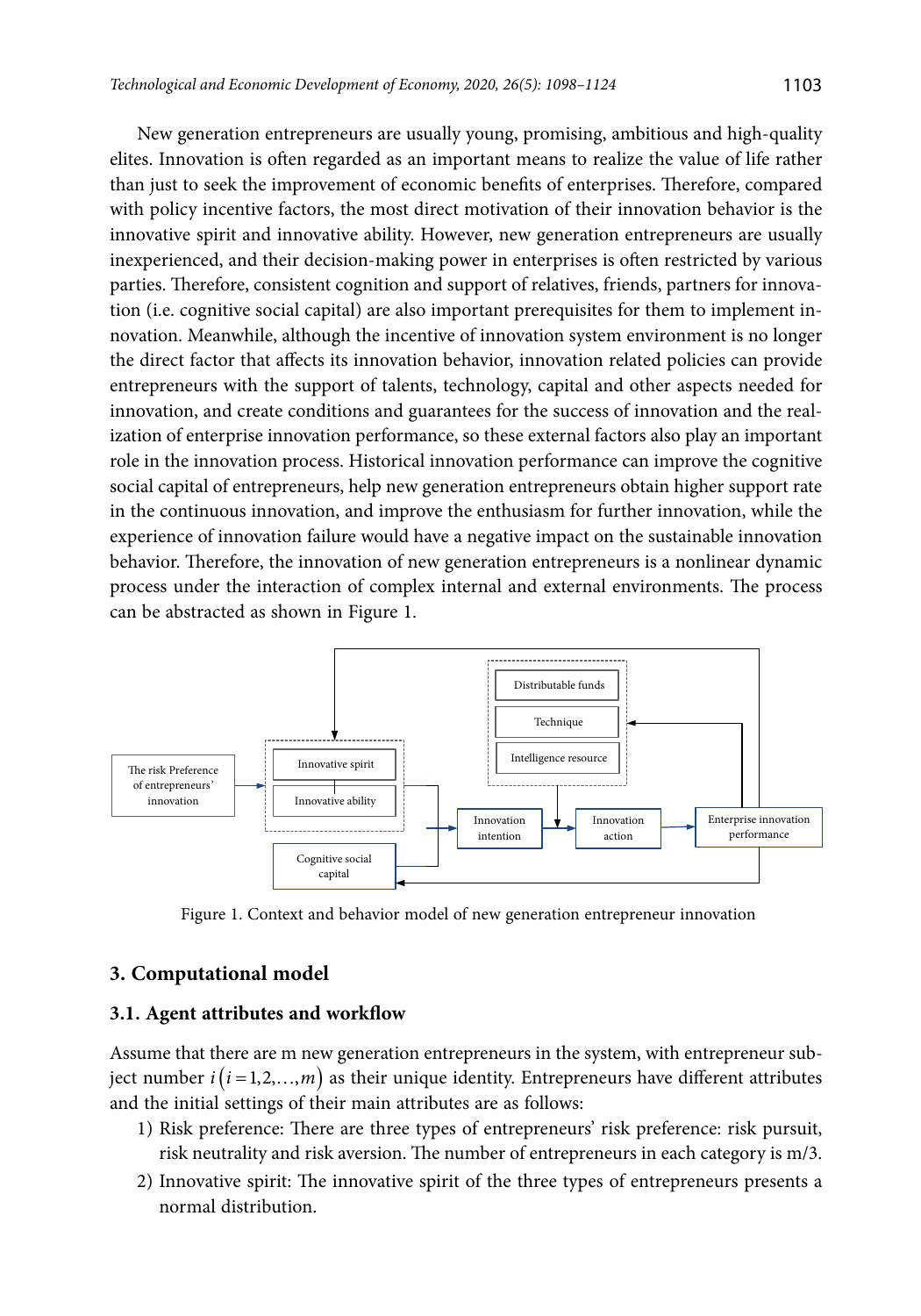New generation entrepreneurs are usually young, promising, ambitious and high-quality elites. Innovation is often regarded as an important means to realize the value of life rather than just to seek the improvement of economic benefits of enterprises. Therefore, compared with policy incentive factors, the most direct motivation of their innovation behavior is the innovative spirit and innovative ability. However, new generation entrepreneurs are usually inexperienced, and their decision-making power in enterprises is often restricted by various parties. Therefore, consistent cognition and support of relatives, friends, partners for innovation (i.e. cognitive social capital) are also important prerequisites for them to implement innovation. Meanwhile, although the incentive of innovation system environment is no longer the direct factor that affects its innovation behavior, innovation related policies can provide entrepreneurs with the support of talents, technology, capital and other aspects needed for innovation, and create conditions and guarantees for the success of innovation and the realization of enterprise innovation performance, so these external factors also play an important role in the innovation process. Historical innovation performance can improve the cognitive social capital of entrepreneurs, help new generation entrepreneurs obtain higher support rate in the continuous innovation, and improve the enthusiasm for further innovation, while the experience of innovation failure would have a negative impact on the sustainable innovation behavior. Therefore, the innovation of new generation entrepreneurs is a nonlinear dynamic process under the interaction of complex internal and external environments. The process can be abstracted as shown in Figure 1.



Figure 1. Context and behavior model of new generation entrepreneur innovation

# **3. Computational model**

### **3.1. Agent attributes and workflow**

Assume that there are m new generation entrepreneurs in the system, with entrepreneur subject number  $i(i=1,2,...,m)$  as their unique identity. Entrepreneurs have different attributes and the initial settings of their main attributes are as follows:

- 1) Risk preference: There are three types of entrepreneurs' risk preference: risk pursuit, risk neutrality and risk aversion. The number of entrepreneurs in each category is m/3.
- 2) Innovative spirit: The innovative spirit of the three types of entrepreneurs presents a normal distribution.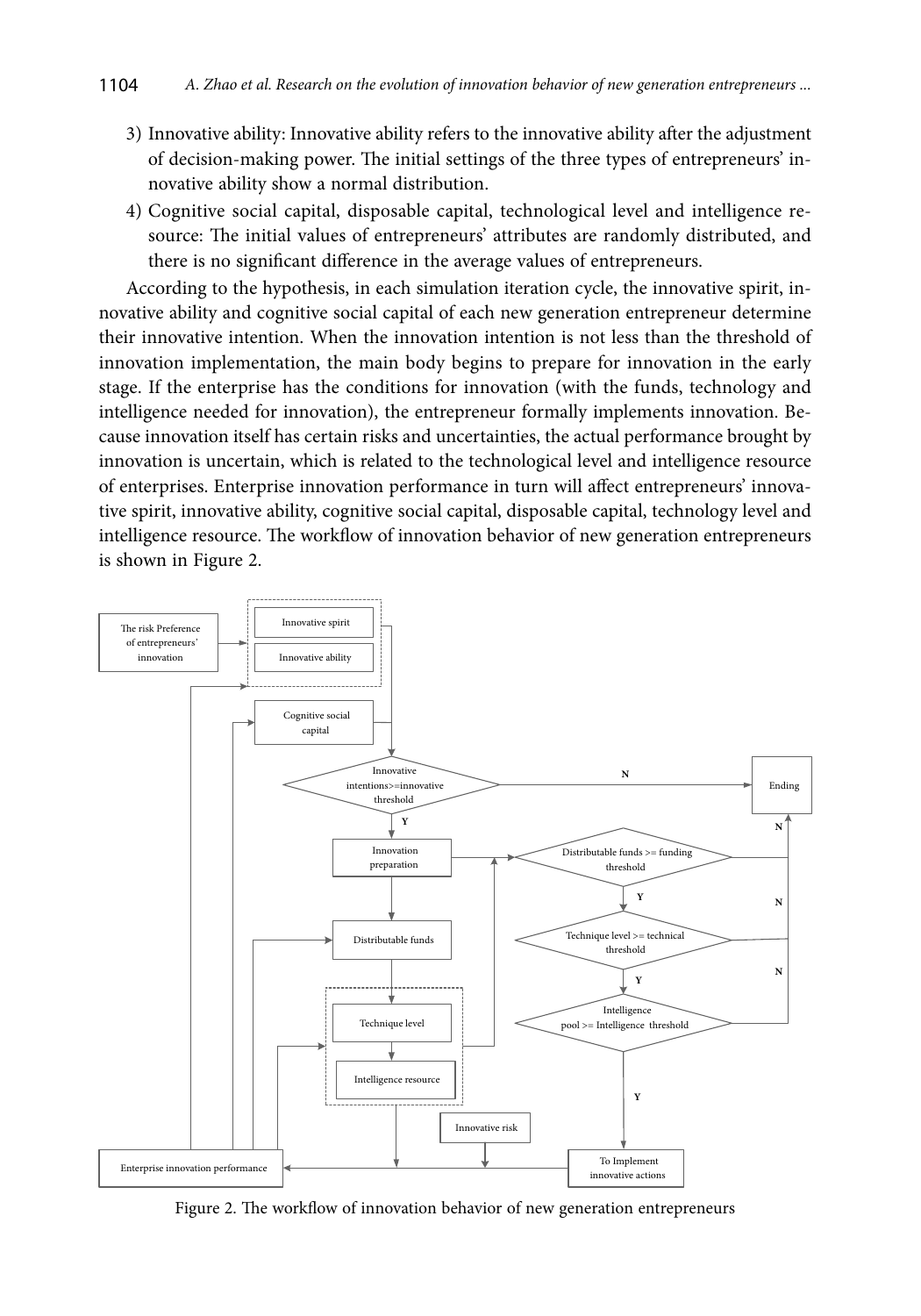- 3) Innovative ability: Innovative ability refers to the innovative ability after the adjustment of decision-making power. The initial settings of the three types of entrepreneurs' innovative ability show a normal distribution.
- 4) Cognitive social capital, disposable capital, technological level and intelligence resource: The initial values of entrepreneurs' attributes are randomly distributed, and there is no significant difference in the average values of entrepreneurs.

According to the hypothesis, in each simulation iteration cycle, the innovative spirit, innovative ability and cognitive social capital of each new generation entrepreneur determine their innovative intention. When the innovation intention is not less than the threshold of innovation implementation, the main body begins to prepare for innovation in the early stage. If the enterprise has the conditions for innovation (with the funds, technology and intelligence needed for innovation), the entrepreneur formally implements innovation. Because innovation itself has certain risks and uncertainties, the actual performance brought by innovation is uncertain, which is related to the technological level and intelligence resource of enterprises. Enterprise innovation performance in turn will affect entrepreneurs' innovative spirit, innovative ability, cognitive social capital, disposable capital, technology level and intelligence resource. The workflow of innovation behavior of new generation entrepreneurs is shown in Figure 2.



Figure 2. The workflow of innovation behavior of new generation entrepreneurs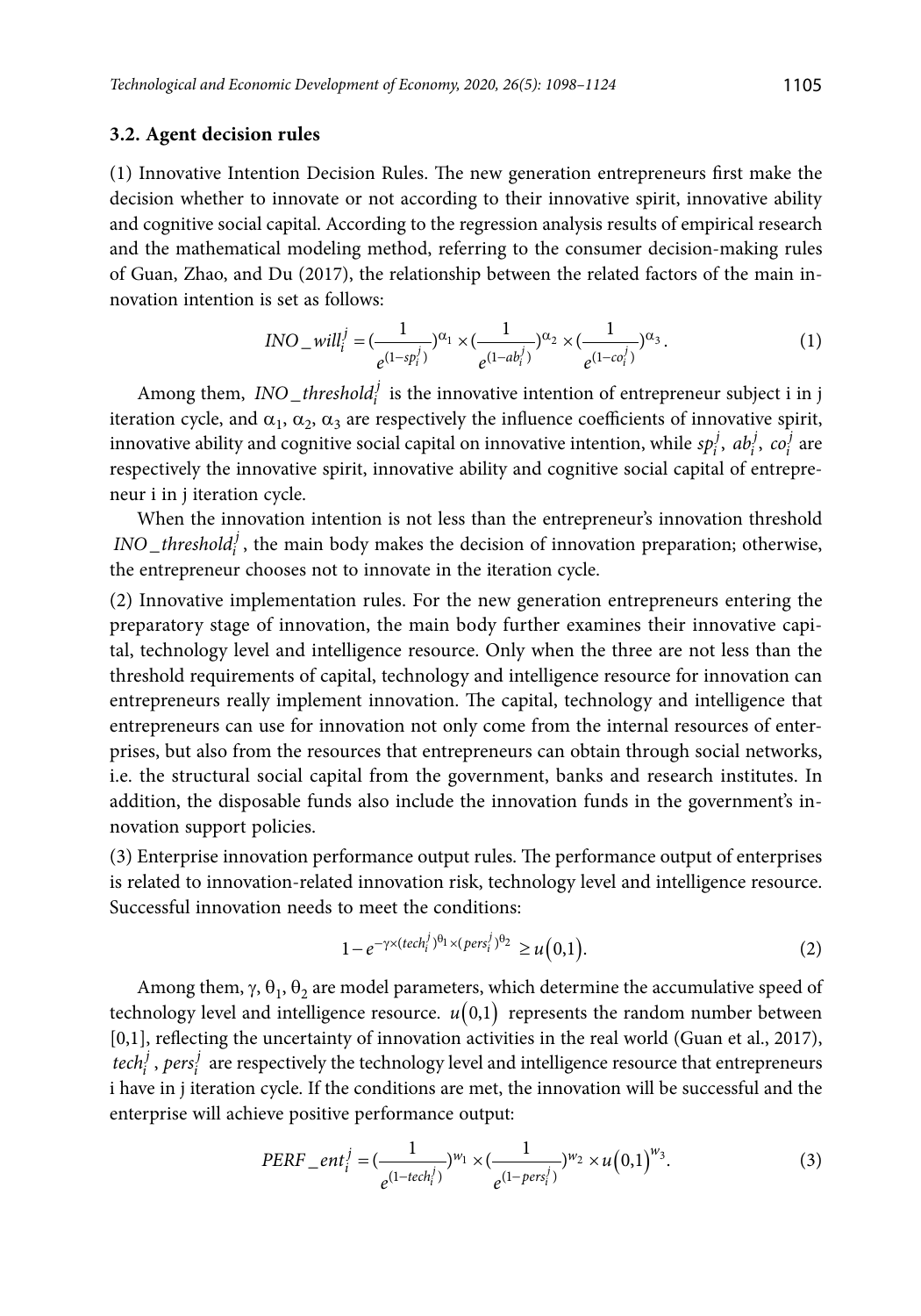### **3.2. Agent decision rules**

(1) Innovative Intention Decision Rules. The new generation entrepreneurs first make the decision whether to innovate or not according to their innovative spirit, innovative ability and cognitive social capital. According to the regression analysis results of empirical research and the mathematical modeling method, referring to the consumer decision-making rules of Guan, Zhao, and Du (2017), the relationship between the related factors of the main innovation intention is set as follows:

$$
INO\_will_i^j = (\frac{1}{e^{(1-sp_i^j)}})^{\alpha_1} \times (\frac{1}{e^{(1-ab_i^j)}})^{\alpha_2} \times (\frac{1}{e^{(1-co_i^j)}})^{\alpha_3}.
$$
 (1)

Among them,  $INO\_threshold_i^j$  is the innovative intention of entrepreneur subject i in j iteration cycle, and  $\alpha_1$ ,  $\alpha_2$ ,  $\alpha_3$  are respectively the influence coefficients of innovative spirit, innovative ability and cognitive social capital on innovative intention, while  $sp_i^j$ ,  $ab_i^j$ ,  $co_i^j$  are respectively the innovative spirit, innovative ability and cognitive social capital of entrepreneur i in j iteration cycle.

When the innovation intention is not less than the entrepreneur's innovation threshold  $\textit{INO}\_\textit{threshold}_i^j$ , the main body makes the decision of innovation preparation; otherwise, the entrepreneur chooses not to innovate in the iteration cycle.

(2) Innovative implementation rules. For the new generation entrepreneurs entering the preparatory stage of innovation, the main body further examines their innovative capital, technology level and intelligence resource. Only when the three are not less than the threshold requirements of capital, technology and intelligence resource for innovation can entrepreneurs really implement innovation. The capital, technology and intelligence that entrepreneurs can use for innovation not only come from the internal resources of enterprises, but also from the resources that entrepreneurs can obtain through social networks, i.e. the structural social capital from the government, banks and research institutes. In addition, the disposable funds also include the innovation funds in the government's innovation support policies.

(3) Enterprise innovation performance output rules. The performance output of enterprises is related to innovation-related innovation risk, technology level and intelligence resource. Successful innovation needs to meet the conditions:

$$
1 - e^{-\gamma \times (tech_i^j)^{\theta_1} \times (pers_i^j)^{\theta_2}} \ge u(0,1).
$$
 (2)

Among them,  $\gamma$ ,  $\theta_1$ ,  $\theta_2$  are model parameters, which determine the accumulative speed of technology level and intelligence resource.  $u(0,1)$  represents the random number between [0,1], reflecting the uncertainty of innovation activities in the real world (Guan et al., 2017), *iech*<sup>*j*</sup>, *pers*<sup>*j*</sup> are respectively the technology level and intelligence resource that entrepreneurs i have in j iteration cycle. If the conditions are met, the innovation will be successful and the enterprise will achieve positive performance output:

$$
PERF_{-}ent_{i}^{j} = \left(\frac{1}{e^{(1-tech_{i}^{j})}}\right)^{w_{1}} \times \left(\frac{1}{e^{(1-pers_{i}^{j})}}\right)^{w_{2}} \times u\left(0,1\right)^{w_{3}}.
$$
\n(3)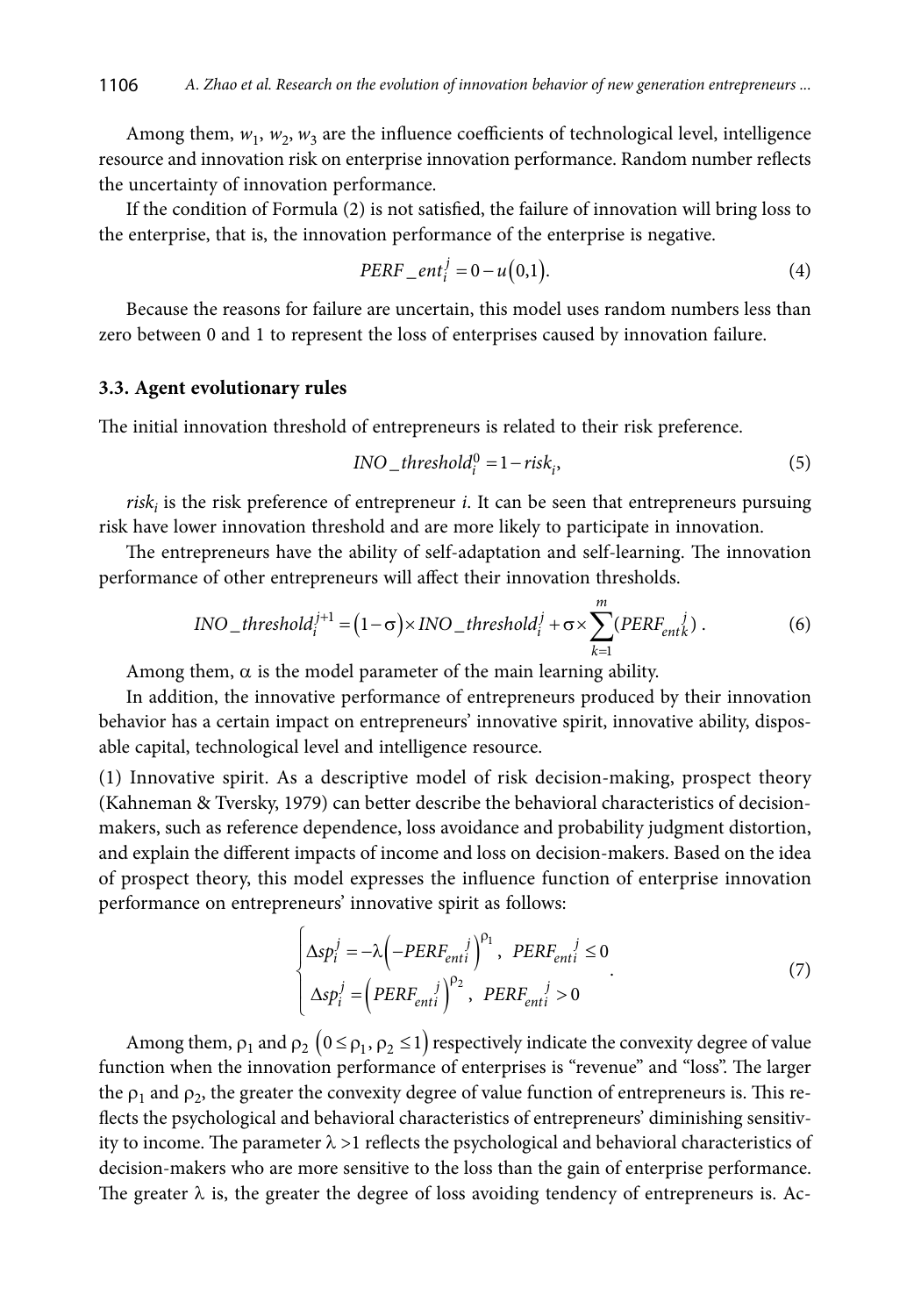Among them,  $w_1$ ,  $w_2$ ,  $w_3$  are the influence coefficients of technological level, intelligence resource and innovation risk on enterprise innovation performance. Random number reflects the uncertainty of innovation performance.

If the condition of Formula (2) is not satisfied, the failure of innovation will bring loss to the enterprise, that is, the innovation performance of the enterprise is negative.

$$
PERF\_ent_i^j = 0 - u(0,1).
$$
\n<sup>(4)</sup>

Because the reasons for failure are uncertain, this model uses random numbers less than zero between 0 and 1 to represent the loss of enterprises caused by innovation failure.

#### **3.3. Agent evolutionary rules**

The initial innovation threshold of entrepreneurs is related to their risk preference.

$$
INO\_threshold_i^0 = 1 - risk_i,
$$
\n(5)

risk<sub>i</sub> is the risk preference of entrepreneur *i*. It can be seen that entrepreneurs pursuing risk have lower innovation threshold and are more likely to participate in innovation.

The entrepreneurs have the ability of self-adaptation and self-learning. The innovation performance of other entrepreneurs will affect their innovation thresholds.

$$
INO\_threshold_i^{j+1} = (1 - \sigma) \times INO\_threshold_i^j + \sigma \times \sum_{k=1}^{m} (PERF_{entk}^j).
$$
 (6)

Among them,  $\alpha$  is the model parameter of the main learning ability.

In addition, the innovative performance of entrepreneurs produced by their innovation behavior has a certain impact on entrepreneurs' innovative spirit, innovative ability, disposable capital, technological level and intelligence resource.

(1) Innovative spirit. As a descriptive model of risk decision-making, prospect theory (Kahneman & Tversky, 1979) can better describe the behavioral characteristics of decisionmakers, such as reference dependence, loss avoidance and probability judgment distortion, and explain the different impacts of income and loss on decision-makers. Based on the idea of prospect theory, this model expresses the influence function of enterprise innovation performance on entrepreneurs' innovative spirit as follows:

$$
\begin{cases}\n\Delta sp_i^j = -\lambda \left( -PERF_{enti}^j \right)^{p_1}, \quad PERF_{enti}^j \le 0 \\
\Delta sp_i^j = \left( PERF_{enti}^j \right)^{p_2}, \quad PERF_{enti}^j > 0\n\end{cases}
$$
\n(7)

Among them,  $\rho_1$  and  $\rho_2$   $(0 \le \rho_1, \rho_2 \le 1)$  respectively indicate the convexity degree of value function when the innovation performance of enterprises is "revenue" and "loss". The larger the  $\rho_1$  and  $\rho_2$ , the greater the convexity degree of value function of entrepreneurs is. This reflects the psychological and behavioral characteristics of entrepreneurs' diminishing sensitivity to income. The parameter  $\lambda > 1$  reflects the psychological and behavioral characteristics of decision-makers who are more sensitive to the loss than the gain of enterprise performance. The greater  $\lambda$  is, the greater the degree of loss avoiding tendency of entrepreneurs is. Ac-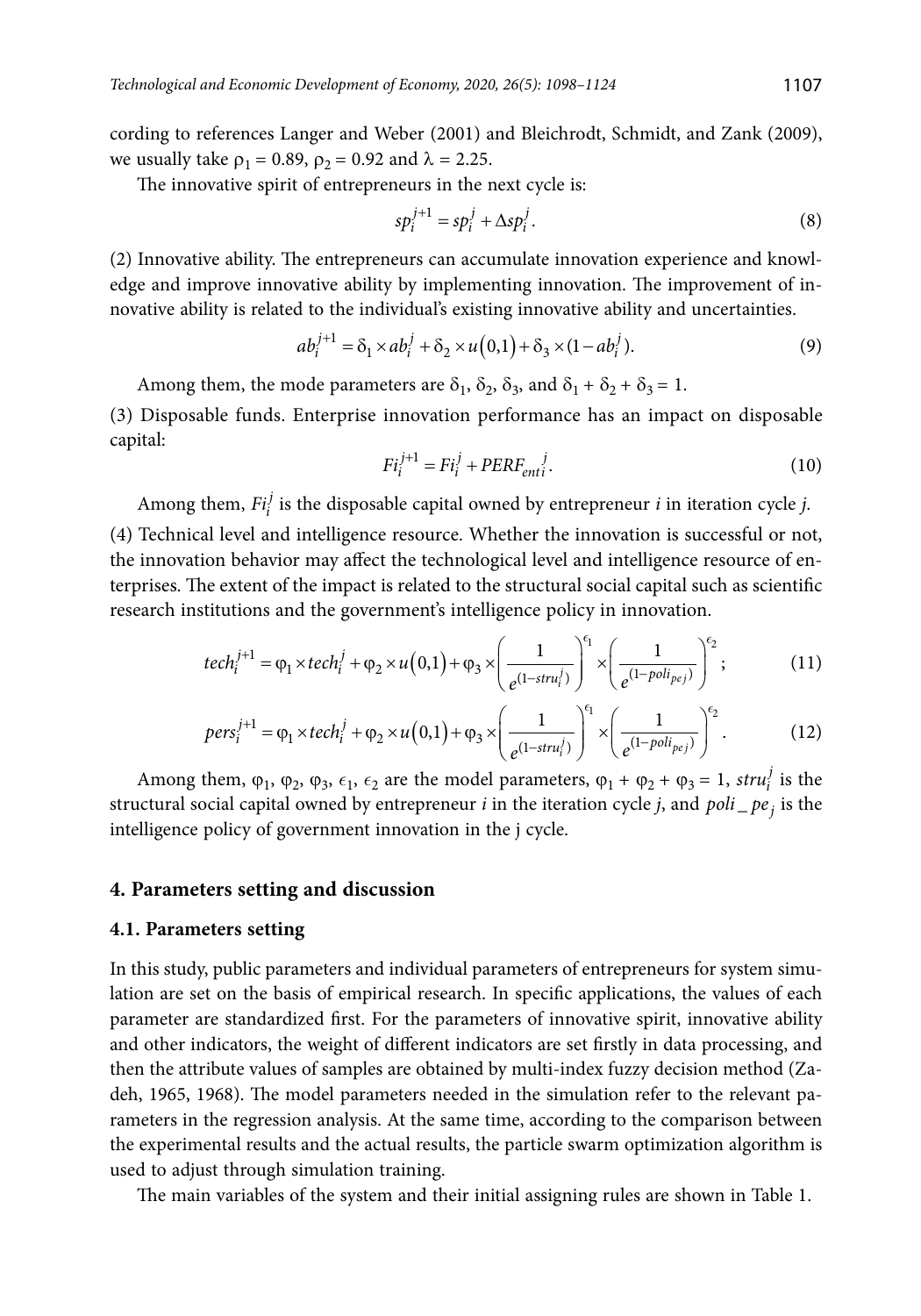cording to references Langer and Weber (2001) and Bleichrodt, Schmidt, and Zank (2009), we usually take  $\rho_1 = 0.89$ ,  $\rho_2 = 0.92$  and  $\lambda = 2.25$ .

The innovative spirit of entrepreneurs in the next cycle is:

$$
sp_i^{j+1} = sp_i^j + \Delta sp_i^j. \tag{8}
$$

(2) Innovative ability. The entrepreneurs can accumulate innovation experience and knowledge and improve innovative ability by implementing innovation. The improvement of innovative ability is related to the individual's existing innovative ability and uncertainties.

$$
ab_i^{j+1} = \delta_1 \times ab_i^j + \delta_2 \times u(0,1) + \delta_3 \times (1 - ab_i^j). \tag{9}
$$

Among them, the mode parameters are  $\delta_1$ ,  $\delta_2$ ,  $\delta_3$ , and  $\delta_1 + \delta_2 + \delta_3 = 1$ .

(3) Disposable funds. Enterprise innovation performance has an impact on disposable capital:

$$
Fi_i^{j+1} = Fi_i^j + PERF_{enti}.
$$
\n<sup>(10)</sup>

Among them,  $Fi_i^j$  is the disposable capital owned by entrepreneur *i* in iteration cycle *j*.

(4) Technical level and intelligence resource. Whether the innovation is successful or not, the innovation behavior may affect the technological level and intelligence resource of enterprises. The extent of the impact is related to the structural social capital such as scientific research institutions and the government's intelligence policy in innovation.

$$
tech_i^{j+1} = \varphi_1 \times tech_i^j + \varphi_2 \times u(0,1) + \varphi_3 \times \left(\frac{1}{e^{(1-stru_i^j)}}\right)^{\epsilon_1} \times \left(\frac{1}{e^{(1-poli_{pej})}}\right)^{\epsilon_2};
$$
 (11)

$$
pers_i^{j+1} = \varphi_1 \times tech_i^j + \varphi_2 \times u(0,1) + \varphi_3 \times \left(\frac{1}{e^{(1-stru_i^j)}}\right)^{\epsilon_1} \times \left(\frac{1}{e^{(1-poli_{pej})}}\right)^{\epsilon_2}.
$$
 (12)

Among them,  $\varphi_1$ ,  $\varphi_2$ ,  $\varphi_3$ ,  $\epsilon_1$ ,  $\epsilon_2$  are the model parameters,  $\varphi_1 + \varphi_2 + \varphi_3 = 1$ , *stru*<sup>*i*</sup> is the structural social capital owned by entrepreneur  $i$  in the iteration cycle  $j$ , and  $poli$   $pe$ , is the intelligence policy of government innovation in the j cycle.

### **4. Parameters setting and discussion**

#### **4.1. Parameters setting**

In this study, public parameters and individual parameters of entrepreneurs for system simulation are set on the basis of empirical research. In specific applications, the values of each parameter are standardized first. For the parameters of innovative spirit, innovative ability and other indicators, the weight of different indicators are set firstly in data processing, and then the attribute values of samples are obtained by multi-index fuzzy decision method (Zadeh, 1965, 1968). The model parameters needed in the simulation refer to the relevant parameters in the regression analysis. At the same time, according to the comparison between the experimental results and the actual results, the particle swarm optimization algorithm is used to adjust through simulation training.

The main variables of the system and their initial assigning rules are shown in Table 1.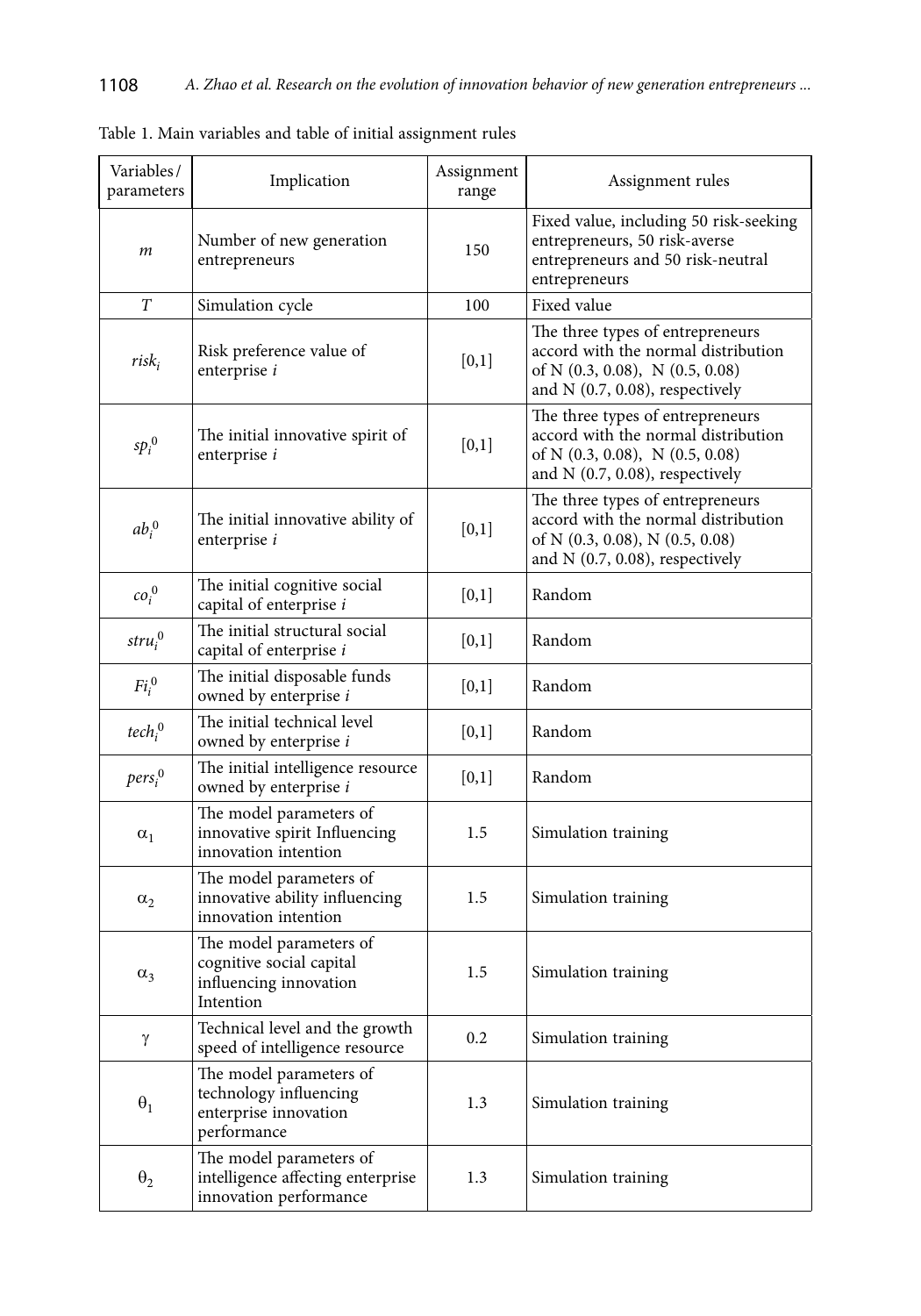| Variables/<br>parameters       | Implication                                                                                | Assignment<br>range | Assignment rules                                                                                                                                     |
|--------------------------------|--------------------------------------------------------------------------------------------|---------------------|------------------------------------------------------------------------------------------------------------------------------------------------------|
| m                              | Number of new generation<br>entrepreneurs                                                  | 150                 | Fixed value, including 50 risk-seeking<br>entrepreneurs, 50 risk-averse<br>entrepreneurs and 50 risk-neutral<br>entrepreneurs                        |
| T                              | Simulation cycle                                                                           | 100                 | Fixed value                                                                                                                                          |
| $risk_i$                       | Risk preference value of<br>enterprise i                                                   | [0,1]               | The three types of entrepreneurs<br>accord with the normal distribution<br>of N $(0.3, 0.08)$ , N $(0.5, 0.08)$<br>and $N$ (0.7, 0.08), respectively |
| $sp_i^0$                       | The initial innovative spirit of<br>enterprise i                                           | [0,1]               | The three types of entrepreneurs<br>accord with the normal distribution<br>of N (0.3, 0.08), N (0.5, 0.08)<br>and $N$ (0.7, 0.08), respectively      |
| $ab_i^0$                       | The initial innovative ability of<br>enterprise i                                          | [0,1]               | The three types of entrepreneurs<br>accord with the normal distribution<br>of N (0.3, 0.08), N (0.5, 0.08)<br>and $N$ (0.7, 0.08), respectively      |
| $co_i^0$                       | The initial cognitive social<br>capital of enterprise i                                    | [0,1]               | Random                                                                                                                                               |
| $stru_i^0$                     | The initial structural social<br>capital of enterprise i                                   | [0,1]               | Random                                                                                                                                               |
| $Fi_i^0$                       | The initial disposable funds<br>owned by enterprise i                                      | [0,1]               | Random                                                                                                                                               |
| tech <sub>i</sub> <sup>0</sup> | The initial technical level<br>owned by enterprise i                                       | [0,1]               | Random                                                                                                                                               |
| pers <sub>i</sub> <sup>0</sup> | The initial intelligence resource<br>owned by enterprise i                                 | [0,1]               | Random                                                                                                                                               |
| $\alpha_1$                     | The model parameters of<br>innovative spirit Influencing<br>innovation intention           | 1.5                 | Simulation training                                                                                                                                  |
| $\alpha_2$                     | The model parameters of<br>innovative ability influencing<br>innovation intention          | 1.5                 | Simulation training                                                                                                                                  |
| $\alpha_3$                     | The model parameters of<br>cognitive social capital<br>influencing innovation<br>Intention | 1.5                 | Simulation training                                                                                                                                  |
| γ                              | Technical level and the growth<br>speed of intelligence resource                           | 0.2                 | Simulation training                                                                                                                                  |
| $\theta_1$                     | The model parameters of<br>technology influencing<br>enterprise innovation<br>performance  | 1.3                 | Simulation training                                                                                                                                  |
| $\theta_2$                     | The model parameters of<br>intelligence affecting enterprise<br>innovation performance     | 1.3                 | Simulation training                                                                                                                                  |

Table 1. Main variables and table of initial assignment rules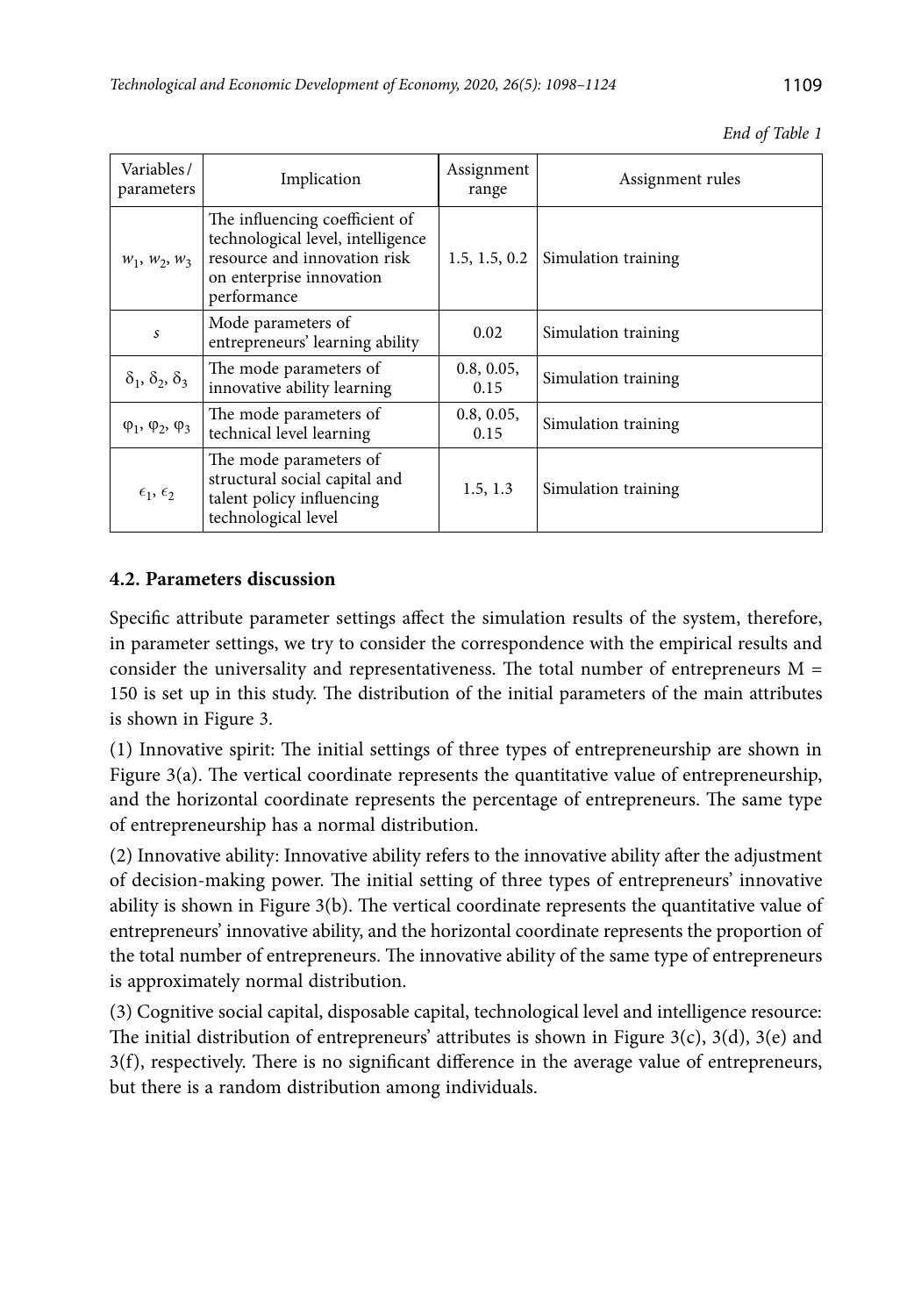| Variables/<br>parameters             | Implication                                                                                                                                    | Assignment<br>range | Assignment rules    |
|--------------------------------------|------------------------------------------------------------------------------------------------------------------------------------------------|---------------------|---------------------|
| $W_1$ , $W_2$ , $W_3$                | The influencing coefficient of<br>technological level, intelligence<br>resource and innovation risk<br>on enterprise innovation<br>performance | 1.5, 1.5, 0.2       | Simulation training |
| S                                    | Mode parameters of<br>entrepreneurs' learning ability                                                                                          | 0.02                | Simulation training |
| $\delta_1$ , $\delta_2$ , $\delta_3$ | The mode parameters of<br>innovative ability learning                                                                                          | 0.8, 0.05,<br>0.15  | Simulation training |
| $\varphi_1, \varphi_2, \varphi_3$    | The mode parameters of<br>technical level learning                                                                                             | 0.8, 0.05,<br>0.15  | Simulation training |
| $\epsilon_1, \epsilon_2$             | The mode parameters of<br>structural social capital and<br>talent policy influencing<br>technological level                                    | 1.5, 1.3            | Simulation training |

## *End of Table 1*

# **4.2. Parameters discussion**

Specific attribute parameter settings affect the simulation results of the system, therefore, in parameter settings, we try to consider the correspondence with the empirical results and consider the universality and representativeness. The total number of entrepreneurs  $M =$ 150 is set up in this study. The distribution of the initial parameters of the main attributes is shown in Figure 3.

(1) Innovative spirit: The initial settings of three types of entrepreneurship are shown in Figure 3(a). The vertical coordinate represents the quantitative value of entrepreneurship, and the horizontal coordinate represents the percentage of entrepreneurs. The same type of entrepreneurship has a normal distribution.

(2) Innovative ability: Innovative ability refers to the innovative ability after the adjustment of decision-making power. The initial setting of three types of entrepreneurs' innovative ability is shown in Figure 3(b). The vertical coordinate represents the quantitative value of entrepreneurs' innovative ability, and the horizontal coordinate represents the proportion of the total number of entrepreneurs. The innovative ability of the same type of entrepreneurs is approximately normal distribution.

(3) Cognitive social capital, disposable capital, technological level and intelligence resource: The initial distribution of entrepreneurs' attributes is shown in Figure  $3(c)$ ,  $3(d)$ ,  $3(e)$  and 3(f), respectively. There is no significant difference in the average value of entrepreneurs, but there is a random distribution among individuals.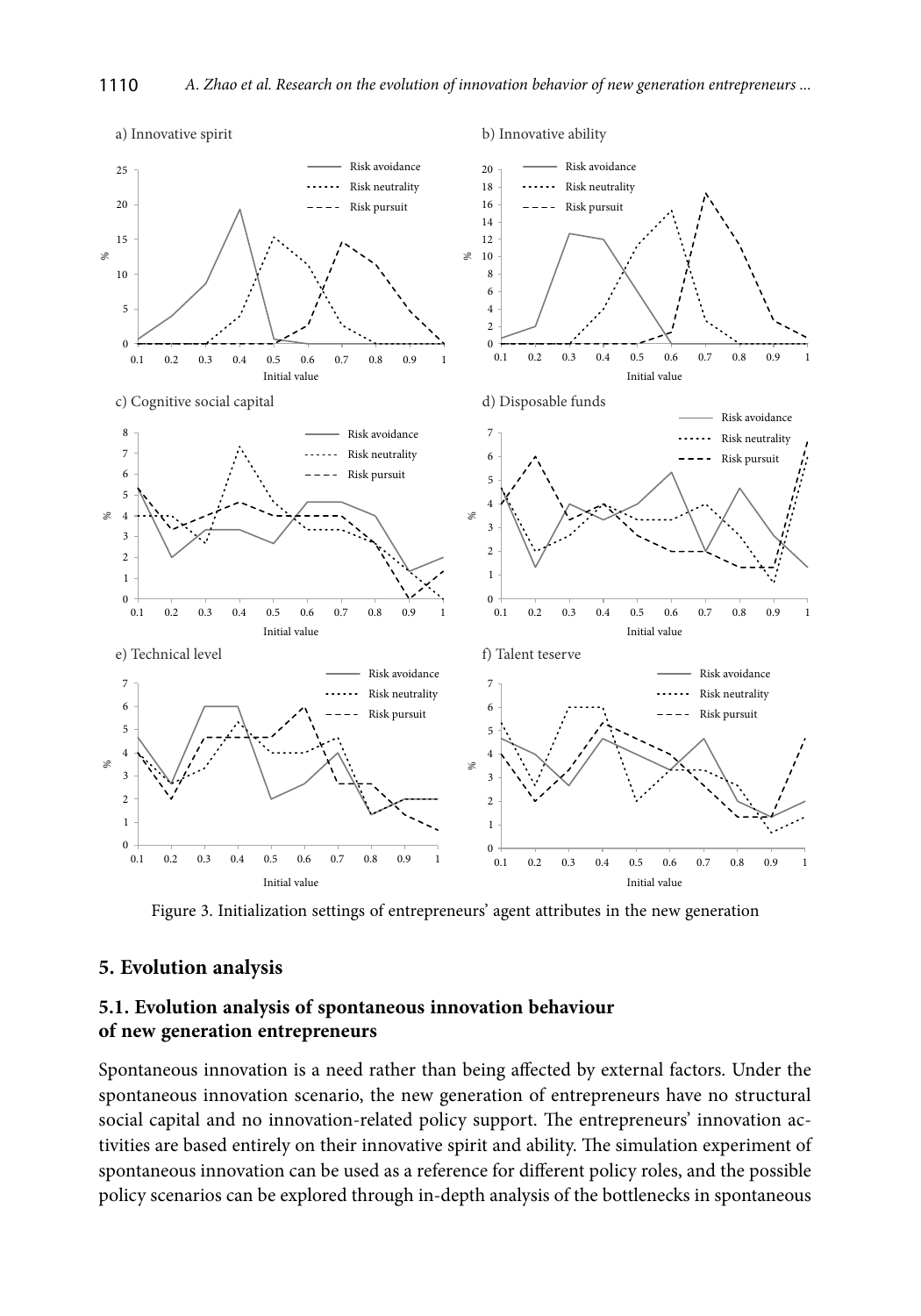

Figure 3. Initialization settings of entrepreneurs' agent attributes in the new generation

### **5. Evolution analysis**

## **5.1. Evolution analysis of spontaneous innovation behaviour of new generation entrepreneurs**

Spontaneous innovation is a need rather than being affected by external factors. Under the spontaneous innovation scenario, the new generation of entrepreneurs have no structural social capital and no innovation-related policy support. The entrepreneurs' innovation activities are based entirely on their innovative spirit and ability. The simulation experiment of spontaneous innovation can be used as a reference for different policy roles, and the possible policy scenarios can be explored through in-depth analysis of the bottlenecks in spontaneous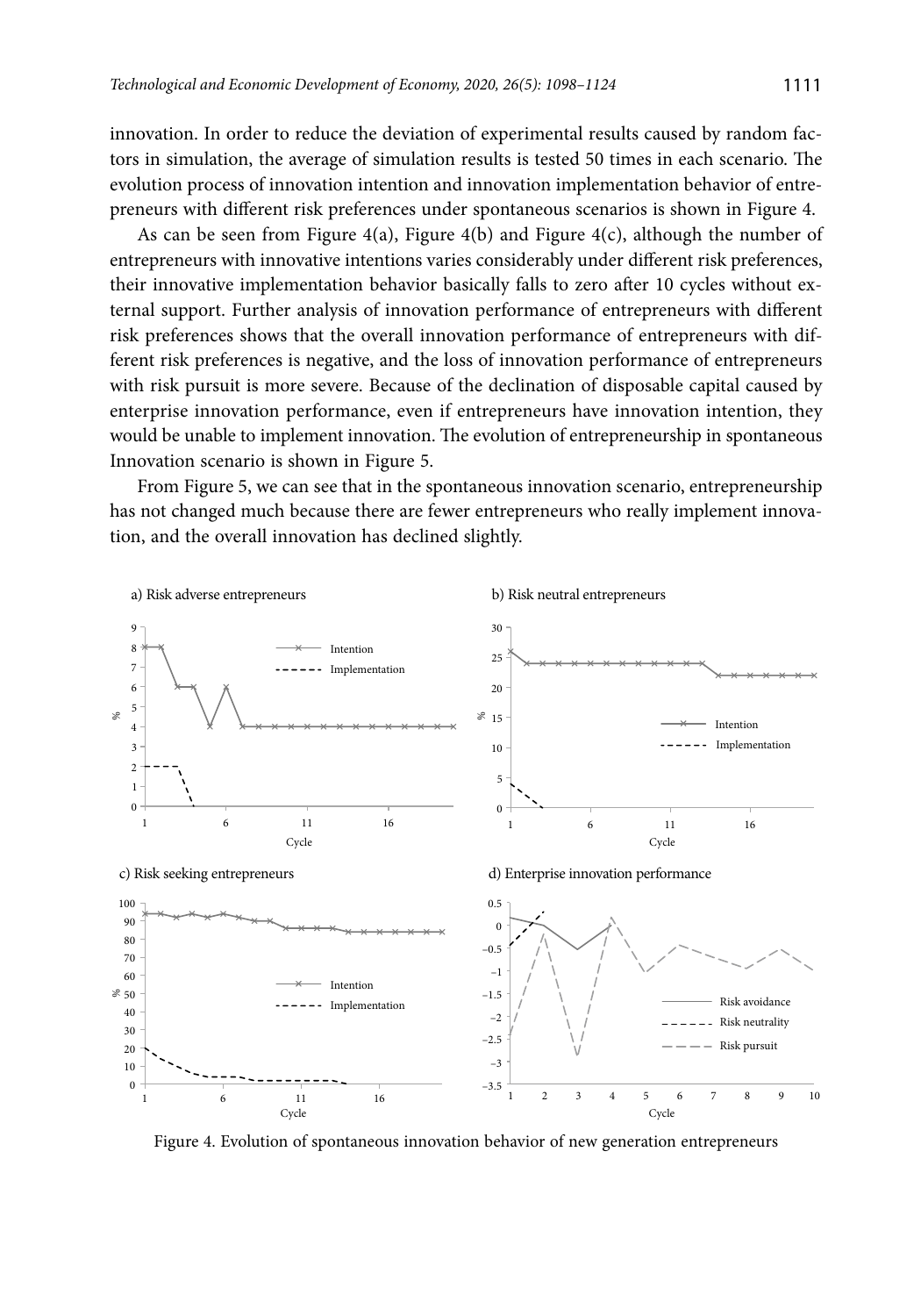innovation. In order to reduce the deviation of experimental results caused by random factors in simulation, the average of simulation results is tested 50 times in each scenario. The evolution process of innovation intention and innovation implementation behavior of entrepreneurs with different risk preferences under spontaneous scenarios is shown in Figure 4.

As can be seen from Figure 4(a), Figure 4(b) and Figure 4(c), although the number of entrepreneurs with innovative intentions varies considerably under different risk preferences, their innovative implementation behavior basically falls to zero after 10 cycles without external support. Further analysis of innovation performance of entrepreneurs with different risk preferences shows that the overall innovation performance of entrepreneurs with different risk preferences is negative, and the loss of innovation performance of entrepreneurs with risk pursuit is more severe. Because of the declination of disposable capital caused by enterprise innovation performance, even if entrepreneurs have innovation intention, they would be unable to implement innovation. The evolution of entrepreneurship in spontaneous Innovation scenario is shown in Figure 5.

From Figure 5, we can see that in the spontaneous innovation scenario, entrepreneurship has not changed much because there are fewer entrepreneurs who really implement innovation, and the overall innovation has declined slightly.



Figure 4. Evolution of spontaneous innovation behavior of new generation entrepreneurs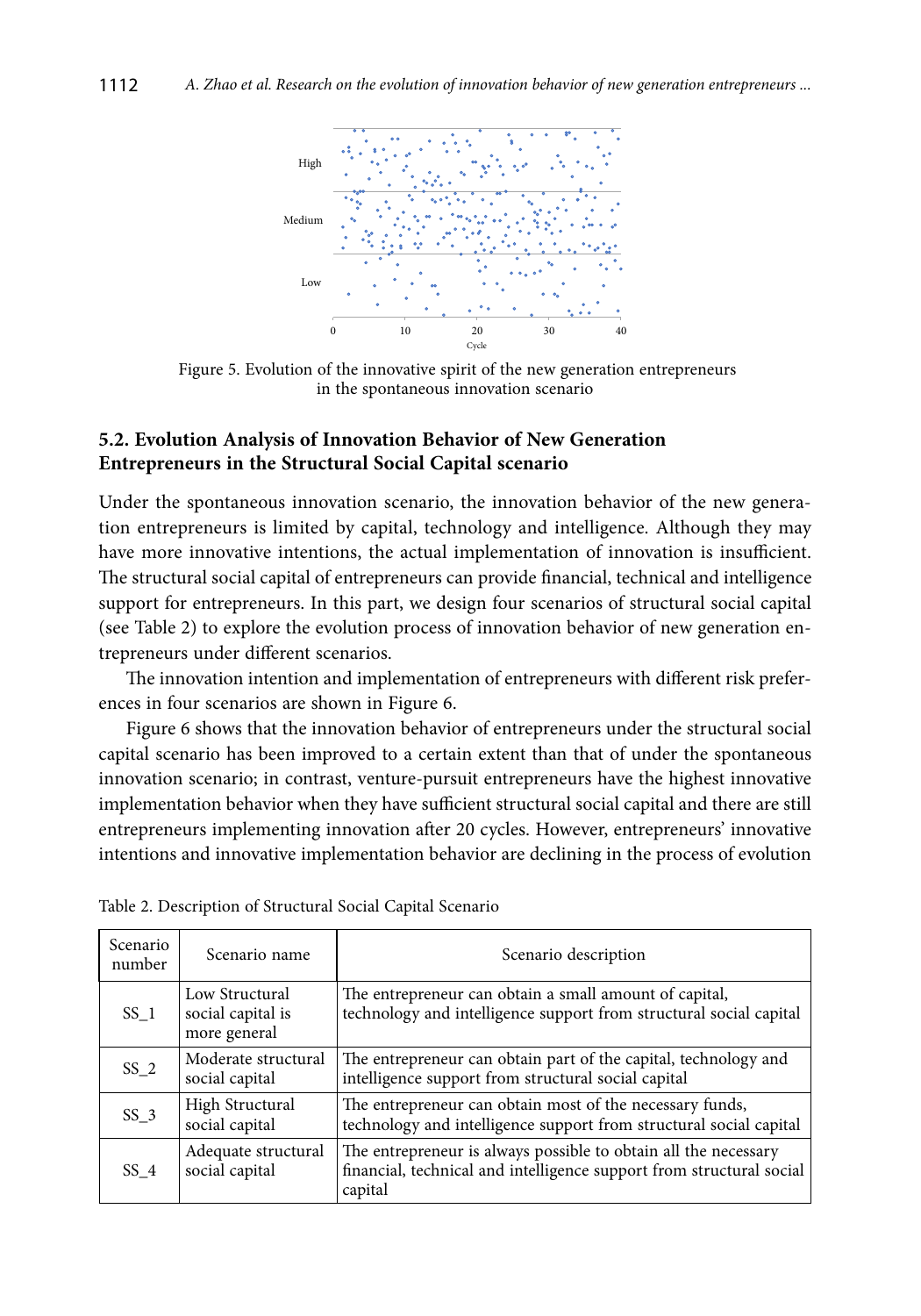

 Figure 5. Evolution of the innovative spirit of the new generation entrepreneurs in the spontaneous innovation scenario

## **5.2. Evolution Analysis of Innovation Behavior of New Generation Entrepreneurs in the Structural Social Capital scenario**

Under the spontaneous innovation scenario, the innovation behavior of the new generation entrepreneurs is limited by capital, technology and intelligence. Although they may have more innovative intentions, the actual implementation of innovation is insufficient. The structural social capital of entrepreneurs can provide financial, technical and intelligence support for entrepreneurs. In this part, we design four scenarios of structural social capital (see Table 2) to explore the evolution process of innovation behavior of new generation entrepreneurs under different scenarios.

The innovation intention and implementation of entrepreneurs with different risk preferences in four scenarios are shown in Figure 6.

Figure 6 shows that the innovation behavior of entrepreneurs under the structural social capital scenario has been improved to a certain extent than that of under the spontaneous innovation scenario; in contrast, venture-pursuit entrepreneurs have the highest innovative implementation behavior when they have sufficient structural social capital and there are still entrepreneurs implementing innovation after 20 cycles. However, entrepreneurs' innovative intentions and innovative implementation behavior are declining in the process of evolution

| Scenario<br>number | Scenario name                                       | Scenario description                                                                                                                               |
|--------------------|-----------------------------------------------------|----------------------------------------------------------------------------------------------------------------------------------------------------|
| SS <sub>1</sub>    | Low Structural<br>social capital is<br>more general | The entrepreneur can obtain a small amount of capital,<br>technology and intelligence support from structural social capital                       |
| $SS_2$             | Moderate structural<br>social capital               | The entrepreneur can obtain part of the capital, technology and<br>intelligence support from structural social capital                             |
| SS <sub>3</sub>    | High Structural<br>social capital                   | The entrepreneur can obtain most of the necessary funds,<br>technology and intelligence support from structural social capital                     |
| SS 4               | Adequate structural<br>social capital               | The entrepreneur is always possible to obtain all the necessary<br>financial, technical and intelligence support from structural social<br>capital |

Table 2. Description of Structural Social Capital Scenario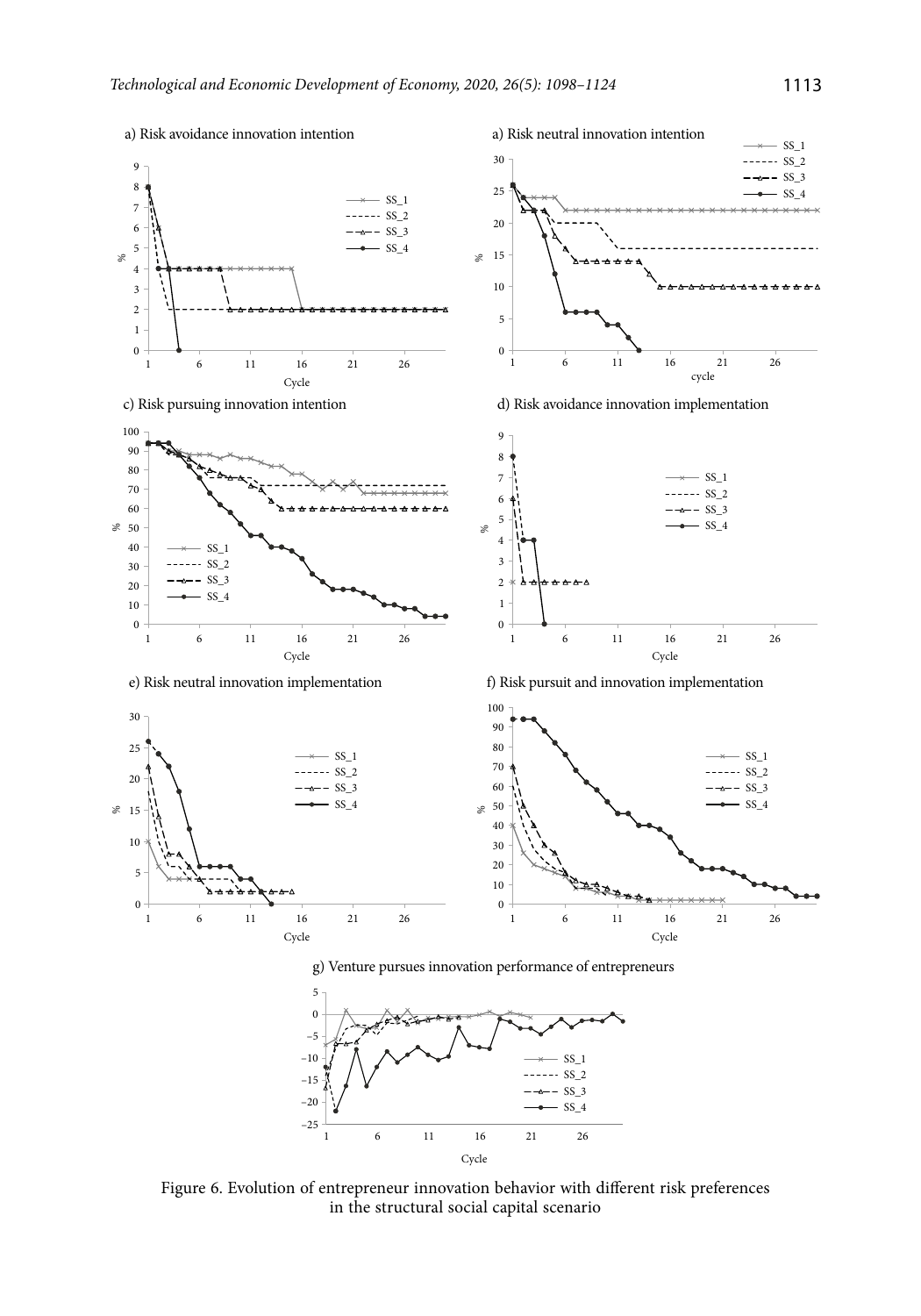

Figure 6. Evolution of entrepreneur innovation behavior with different risk preferences in the structural social capital scenario

Cycle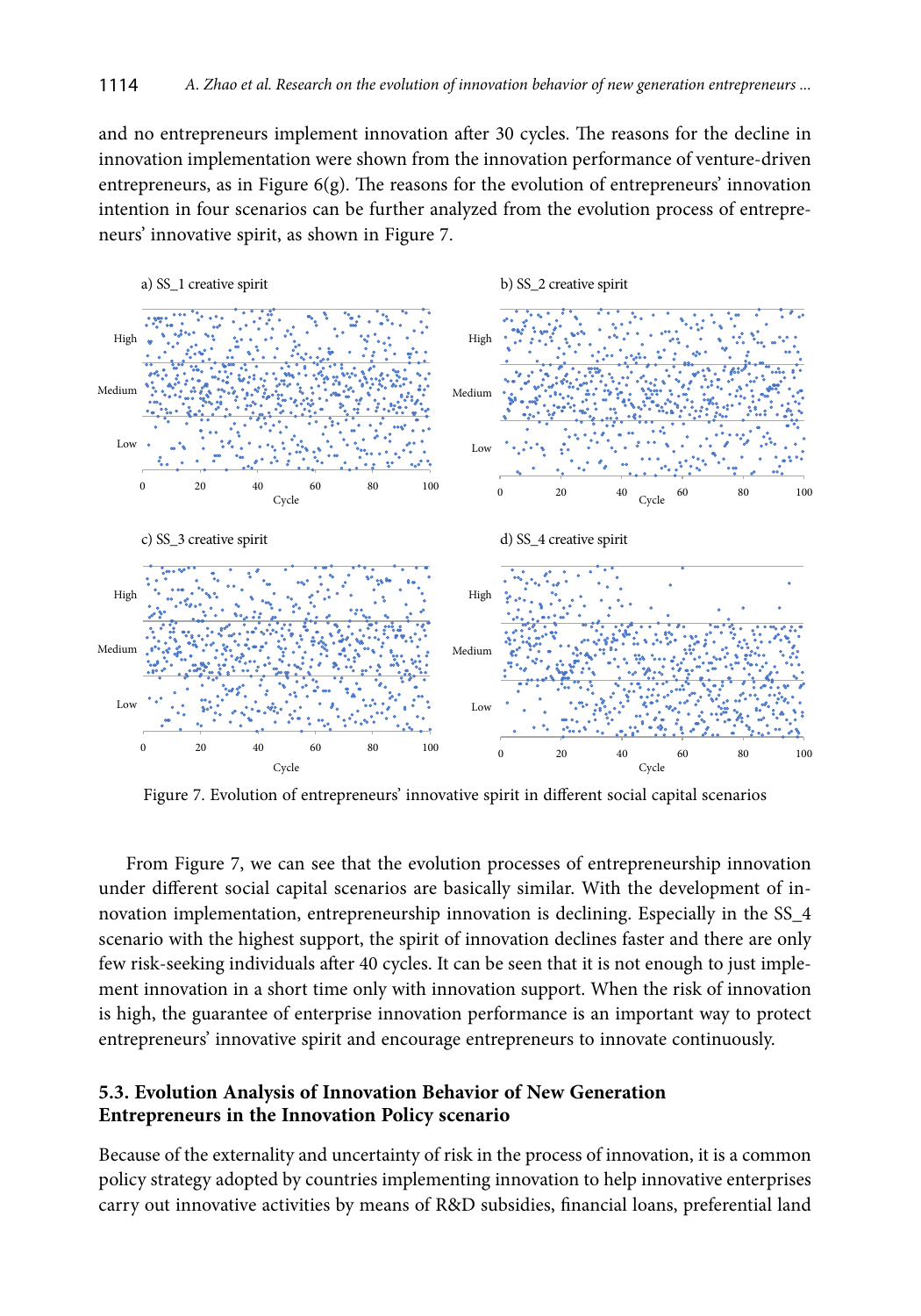and no entrepreneurs implement innovation after 30 cycles. The reasons for the decline in innovation implementation were shown from the innovation performance of venture-driven entrepreneurs, as in Figure 6(g). The reasons for the evolution of entrepreneurs' innovation intention in four scenarios can be further analyzed from the evolution process of entrepreneurs' innovative spirit, as shown in Figure 7.



Figure 7. Evolution of entrepreneurs' innovative spirit in different social capital scenarios

From Figure 7, we can see that the evolution processes of entrepreneurship innovation under different social capital scenarios are basically similar. With the development of innovation implementation, entrepreneurship innovation is declining. Especially in the SS\_4 scenario with the highest support, the spirit of innovation declines faster and there are only few risk-seeking individuals after 40 cycles. It can be seen that it is not enough to just implement innovation in a short time only with innovation support. When the risk of innovation is high, the guarantee of enterprise innovation performance is an important way to protect entrepreneurs' innovative spirit and encourage entrepreneurs to innovate continuously.

## **5.3. Evolution Analysis of Innovation Behavior of New Generation Entrepreneurs in the Innovation Policy scenario**

Because of the externality and uncertainty of risk in the process of innovation, it is a common policy strategy adopted by countries implementing innovation to help innovative enterprises carry out innovative activities by means of R&D subsidies, financial loans, preferential land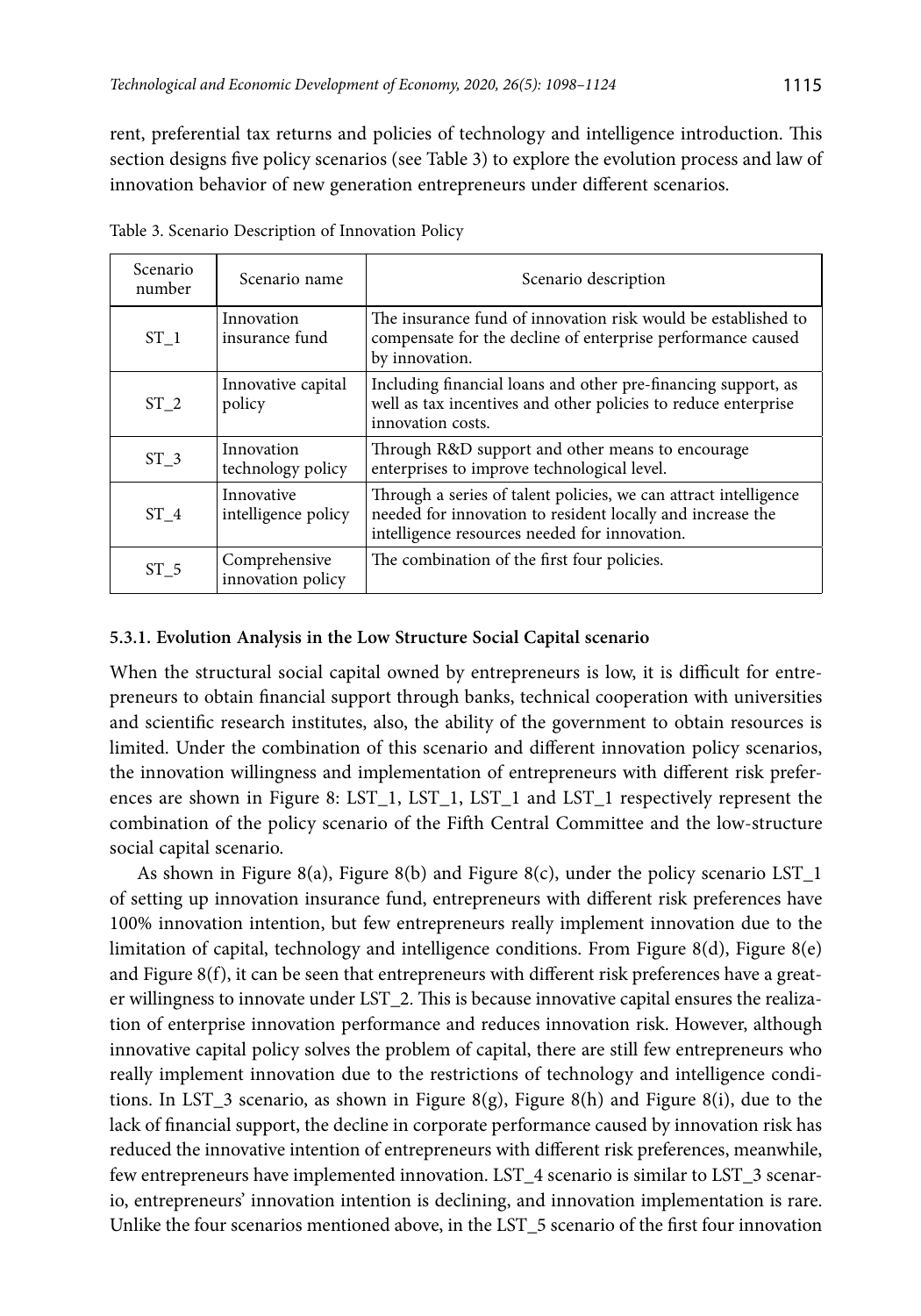rent, preferential tax returns and policies of technology and intelligence introduction. This section designs five policy scenarios (see Table 3) to explore the evolution process and law of innovation behavior of new generation entrepreneurs under different scenarios.

| Scenario<br>number | Scenario name                      | Scenario description                                                                                                                                                            |
|--------------------|------------------------------------|---------------------------------------------------------------------------------------------------------------------------------------------------------------------------------|
| ST <sub>1</sub>    | Innovation<br>insurance fund       | The insurance fund of innovation risk would be established to<br>compensate for the decline of enterprise performance caused<br>by innovation.                                  |
| ST <sub>2</sub>    | Innovative capital<br>policy       | Including financial loans and other pre-financing support, as<br>well as tax incentives and other policies to reduce enterprise<br>innovation costs.                            |
| ST <sub>3</sub>    | Innovation<br>technology policy    | Through R&D support and other means to encourage<br>enterprises to improve technological level.                                                                                 |
| ST <sub>4</sub>    | Innovative<br>intelligence policy  | Through a series of talent policies, we can attract intelligence<br>needed for innovation to resident locally and increase the<br>intelligence resources needed for innovation. |
| ST <sub>5</sub>    | Comprehensive<br>innovation policy | The combination of the first four policies.                                                                                                                                     |

Table 3. Scenario Description of Innovation Policy

#### **5.3.1. Evolution Analysis in the Low Structure Social Capital scenario**

When the structural social capital owned by entrepreneurs is low, it is difficult for entrepreneurs to obtain financial support through banks, technical cooperation with universities and scientific research institutes, also, the ability of the government to obtain resources is limited. Under the combination of this scenario and different innovation policy scenarios, the innovation willingness and implementation of entrepreneurs with different risk preferences are shown in Figure 8: LST\_1, LST\_1, LST\_1 and LST\_1 respectively represent the combination of the policy scenario of the Fifth Central Committee and the low-structure social capital scenario.

As shown in Figure 8(a), Figure 8(b) and Figure 8(c), under the policy scenario LST $_1$ of setting up innovation insurance fund, entrepreneurs with different risk preferences have 100% innovation intention, but few entrepreneurs really implement innovation due to the limitation of capital, technology and intelligence conditions. From Figure 8(d), Figure 8(e) and Figure  $8(f)$ , it can be seen that entrepreneurs with different risk preferences have a greater willingness to innovate under LST\_2. This is because innovative capital ensures the realization of enterprise innovation performance and reduces innovation risk. However, although innovative capital policy solves the problem of capital, there are still few entrepreneurs who really implement innovation due to the restrictions of technology and intelligence conditions. In LST\_3 scenario, as shown in Figure 8(g), Figure 8(h) and Figure 8(i), due to the lack of financial support, the decline in corporate performance caused by innovation risk has reduced the innovative intention of entrepreneurs with different risk preferences, meanwhile, few entrepreneurs have implemented innovation. LST\_4 scenario is similar to LST\_3 scenario, entrepreneurs' innovation intention is declining, and innovation implementation is rare. Unlike the four scenarios mentioned above, in the LST\_5 scenario of the first four innovation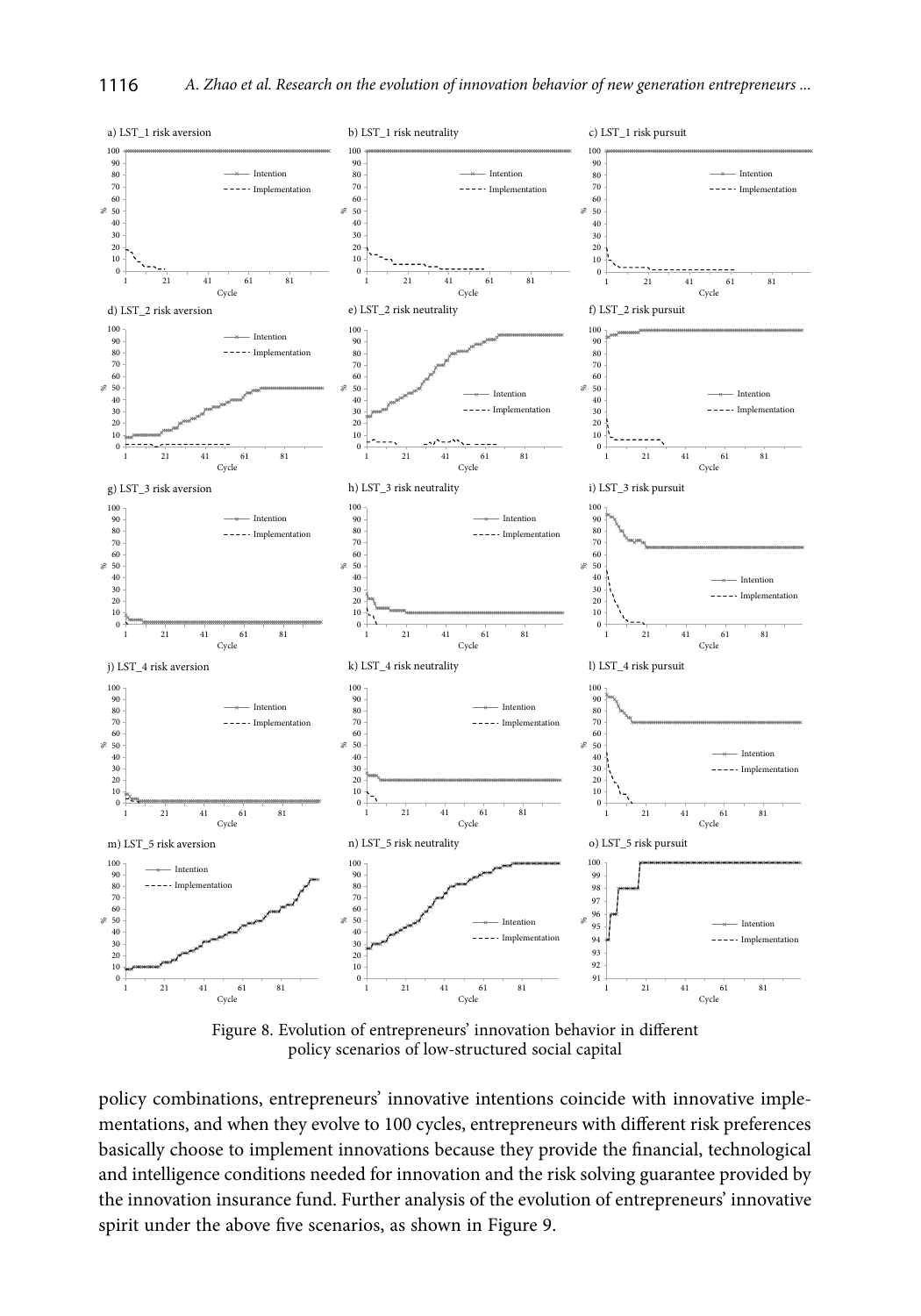

Figure 8. Evolution of entrepreneurs' innovation behavior in different policy scenarios of low-structured social capital

policy combinations, entrepreneurs' innovative intentions coincide with innovative implementations, and when they evolve to 100 cycles, entrepreneurs with different risk preferences basically choose to implement innovations because they provide the financial, technological and intelligence conditions needed for innovation and the risk solving guarantee provided by the innovation insurance fund. Further analysis of the evolution of entrepreneurs' innovative spirit under the above five scenarios, as shown in Figure 9.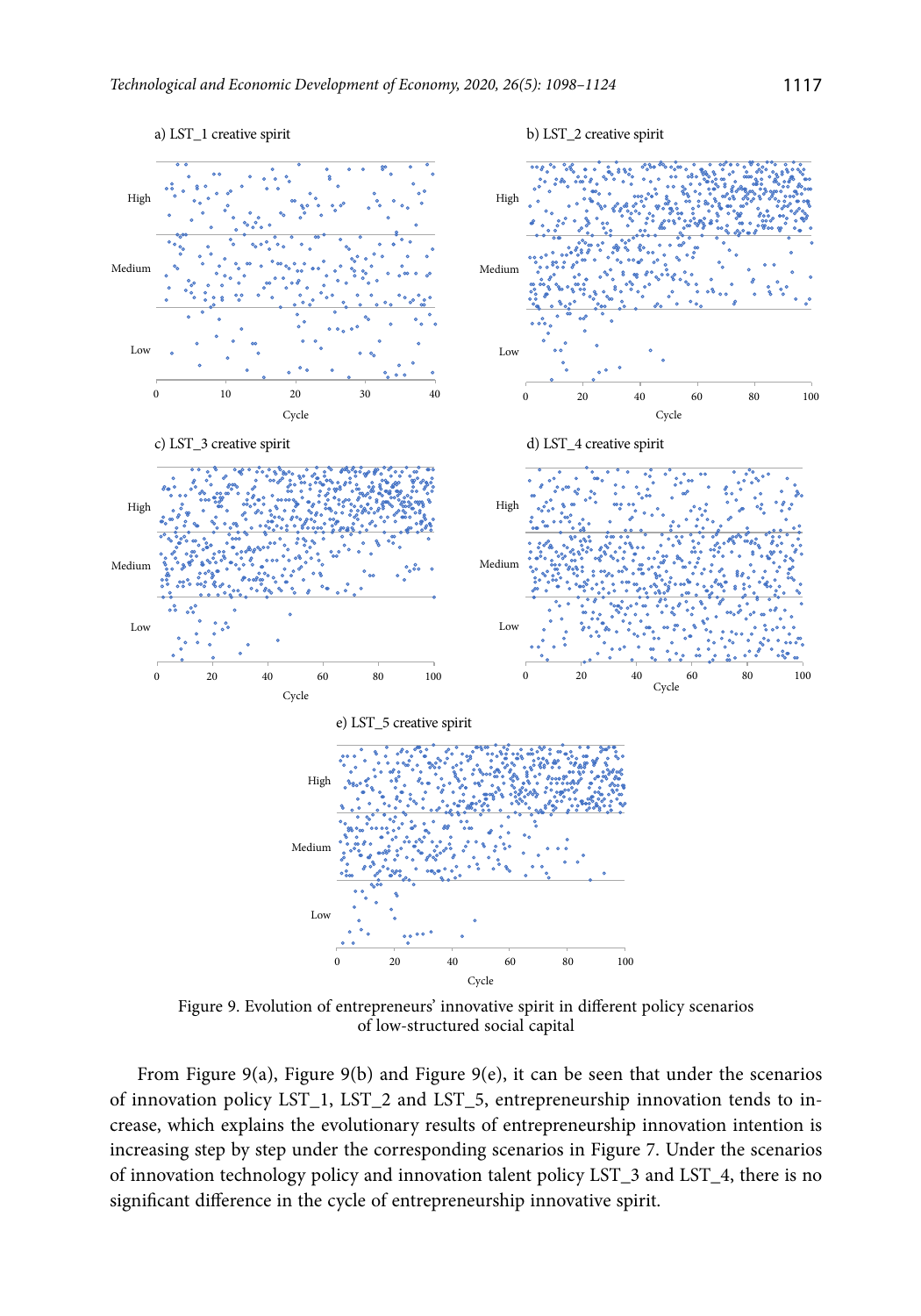

Figure 9. Evolution of entrepreneurs' innovative spirit in different policy scenarios of low-structured social capital

From Figure 9(a), Figure 9(b) and Figure 9(e), it can be seen that under the scenarios of innovation policy LST\_1, LST\_2 and LST\_5, entrepreneurship innovation tends to increase, which explains the evolutionary results of entrepreneurship innovation intention is increasing step by step under the corresponding scenarios in Figure 7. Under the scenarios of innovation technology policy and innovation talent policy LST\_3 and LST\_4, there is no significant difference in the cycle of entrepreneurship innovative spirit.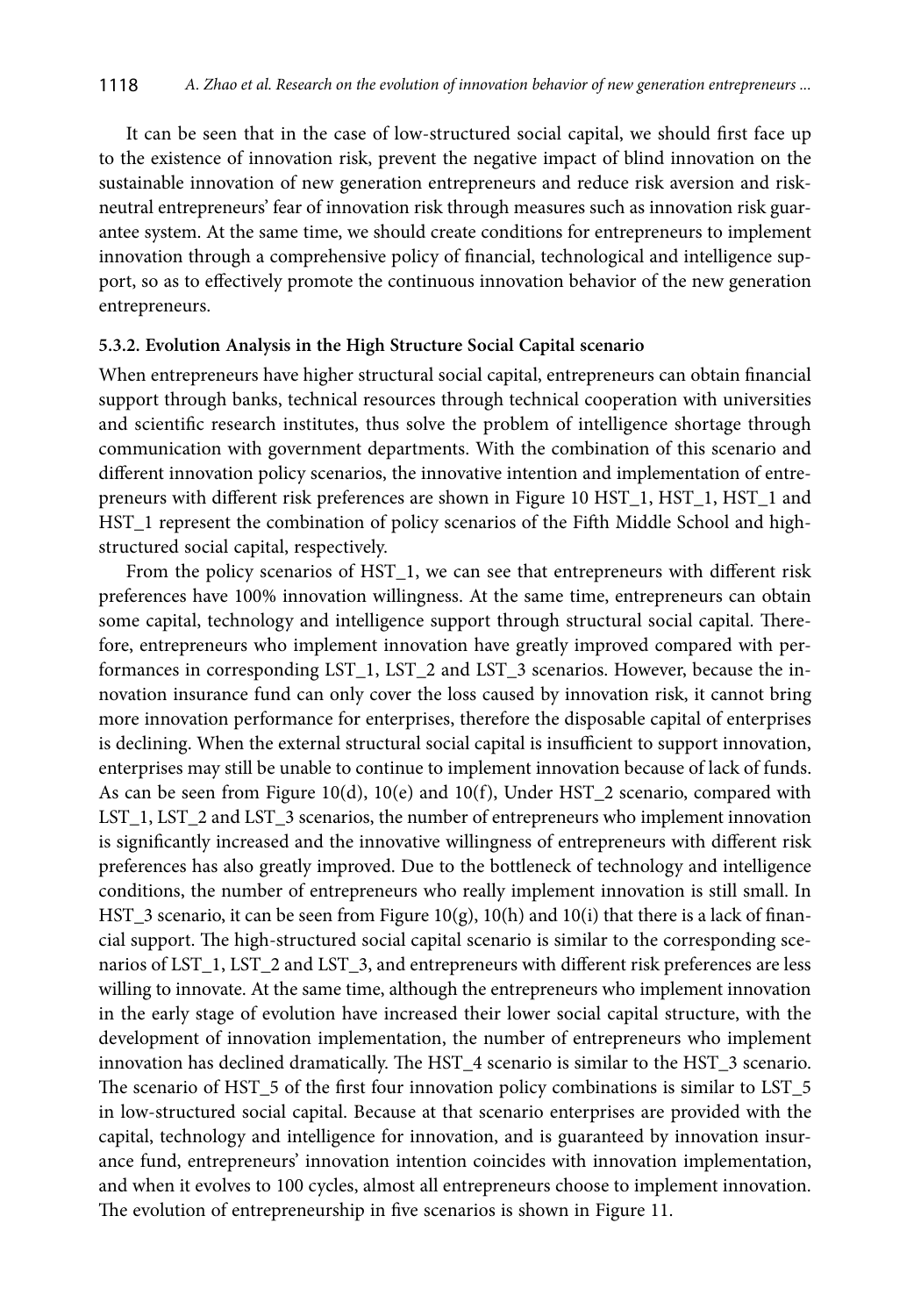It can be seen that in the case of low-structured social capital, we should first face up to the existence of innovation risk, prevent the negative impact of blind innovation on the sustainable innovation of new generation entrepreneurs and reduce risk aversion and riskneutral entrepreneurs' fear of innovation risk through measures such as innovation risk guarantee system. At the same time, we should create conditions for entrepreneurs to implement innovation through a comprehensive policy of financial, technological and intelligence support, so as to effectively promote the continuous innovation behavior of the new generation entrepreneurs.

## **5.3.2. Evolution Analysis in the High Structure Social Capital scenario**

When entrepreneurs have higher structural social capital, entrepreneurs can obtain financial support through banks, technical resources through technical cooperation with universities and scientific research institutes, thus solve the problem of intelligence shortage through communication with government departments. With the combination of this scenario and different innovation policy scenarios, the innovative intention and implementation of entrepreneurs with different risk preferences are shown in Figure 10 HST\_1, HST\_1, HST\_1 and HST\_1 represent the combination of policy scenarios of the Fifth Middle School and highstructured social capital, respectively.

From the policy scenarios of HST\_1, we can see that entrepreneurs with different risk preferences have 100% innovation willingness. At the same time, entrepreneurs can obtain some capital, technology and intelligence support through structural social capital. Therefore, entrepreneurs who implement innovation have greatly improved compared with performances in corresponding LST\_1, LST\_2 and LST\_3 scenarios. However, because the innovation insurance fund can only cover the loss caused by innovation risk, it cannot bring more innovation performance for enterprises, therefore the disposable capital of enterprises is declining. When the external structural social capital is insufficient to support innovation, enterprises may still be unable to continue to implement innovation because of lack of funds. As can be seen from Figure 10(d), 10(e) and 10(f), Under HST\_2 scenario, compared with LST\_1, LST\_2 and LST\_3 scenarios, the number of entrepreneurs who implement innovation is significantly increased and the innovative willingness of entrepreneurs with different risk preferences has also greatly improved. Due to the bottleneck of technology and intelligence conditions, the number of entrepreneurs who really implement innovation is still small. In HST\_3 scenario, it can be seen from Figure 10(g), 10(h) and 10(i) that there is a lack of financial support. The high-structured social capital scenario is similar to the corresponding scenarios of LST\_1, LST\_2 and LST\_3, and entrepreneurs with different risk preferences are less willing to innovate. At the same time, although the entrepreneurs who implement innovation in the early stage of evolution have increased their lower social capital structure, with the development of innovation implementation, the number of entrepreneurs who implement innovation has declined dramatically. The HST\_4 scenario is similar to the HST\_3 scenario. The scenario of HST\_5 of the first four innovation policy combinations is similar to LST\_5 in low-structured social capital. Because at that scenario enterprises are provided with the capital, technology and intelligence for innovation, and is guaranteed by innovation insurance fund, entrepreneurs' innovation intention coincides with innovation implementation, and when it evolves to 100 cycles, almost all entrepreneurs choose to implement innovation. The evolution of entrepreneurship in five scenarios is shown in Figure 11.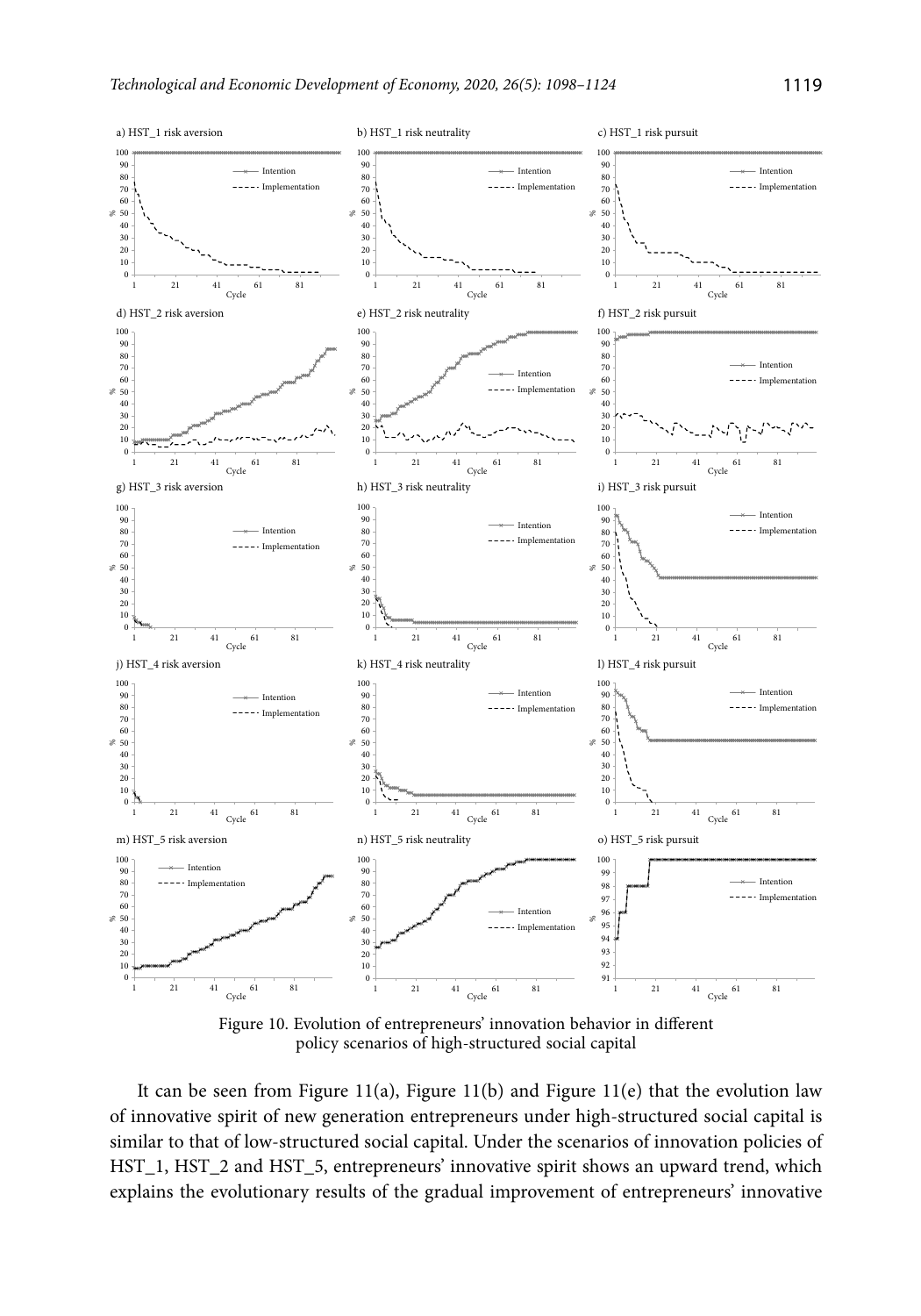

policy scenarios of high-structured social capital

It can be seen from Figure 11(a), Figure 11(b) and Figure 11(e) that the evolution law of innovative spirit of new generation entrepreneurs under high-structured social capital is similar to that of low-structured social capital. Under the scenarios of innovation policies of HST\_1, HST\_2 and HST\_5, entrepreneurs' innovative spirit shows an upward trend, which explains the evolutionary results of the gradual improvement of entrepreneurs' innovative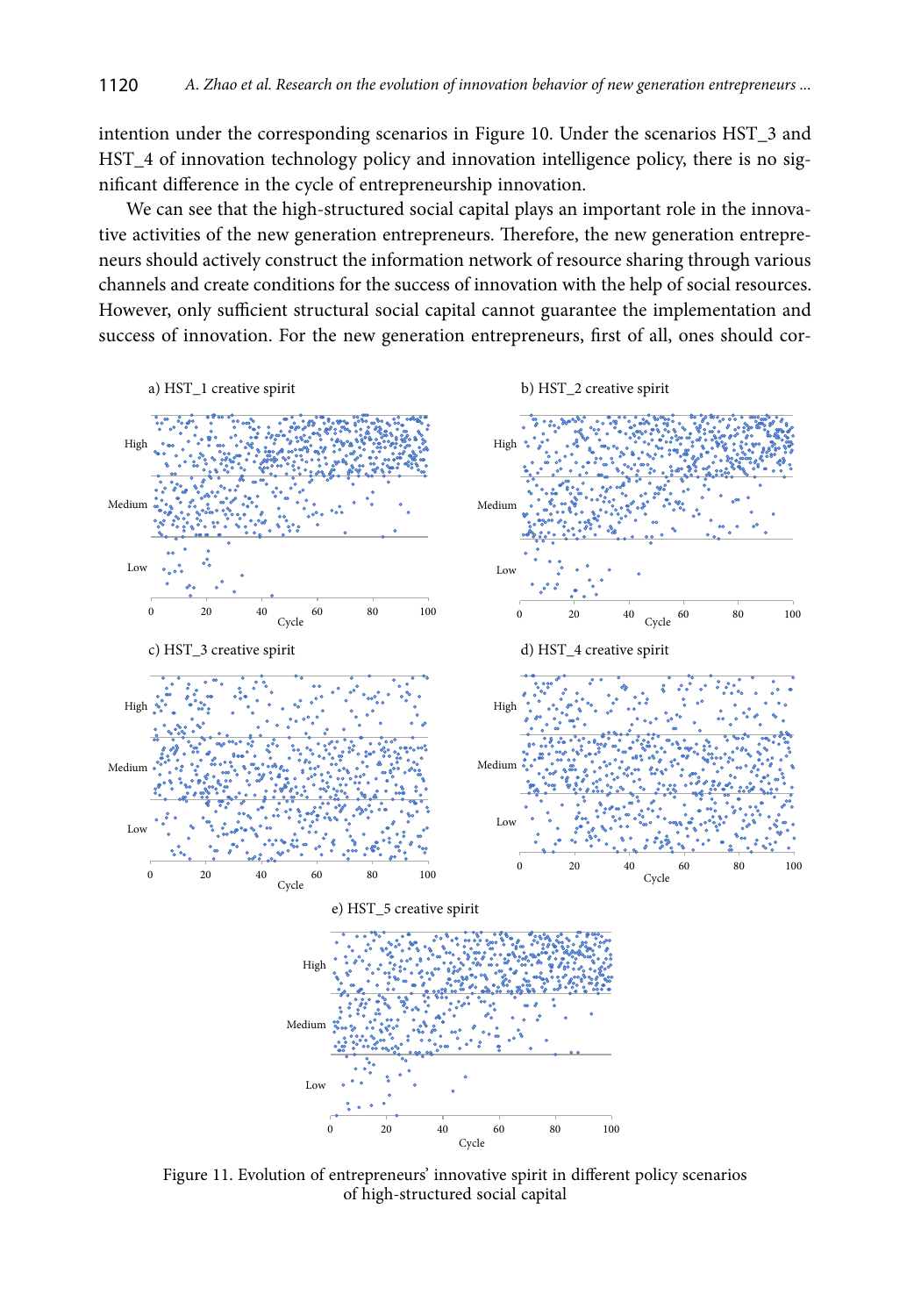intention under the corresponding scenarios in Figure 10. Under the scenarios HST\_3 and HST\_4 of innovation technology policy and innovation intelligence policy, there is no significant difference in the cycle of entrepreneurship innovation.

We can see that the high-structured social capital plays an important role in the innovative activities of the new generation entrepreneurs. Therefore, the new generation entrepreneurs should actively construct the information network of resource sharing through various channels and create conditions for the success of innovation with the help of social resources. However, only sufficient structural social capital cannot guarantee the implementation and success of innovation. For the new generation entrepreneurs, first of all, ones should cor-



Figure 11. Evolution of entrepreneurs' innovative spirit in different policy scenarios of high-structured social capital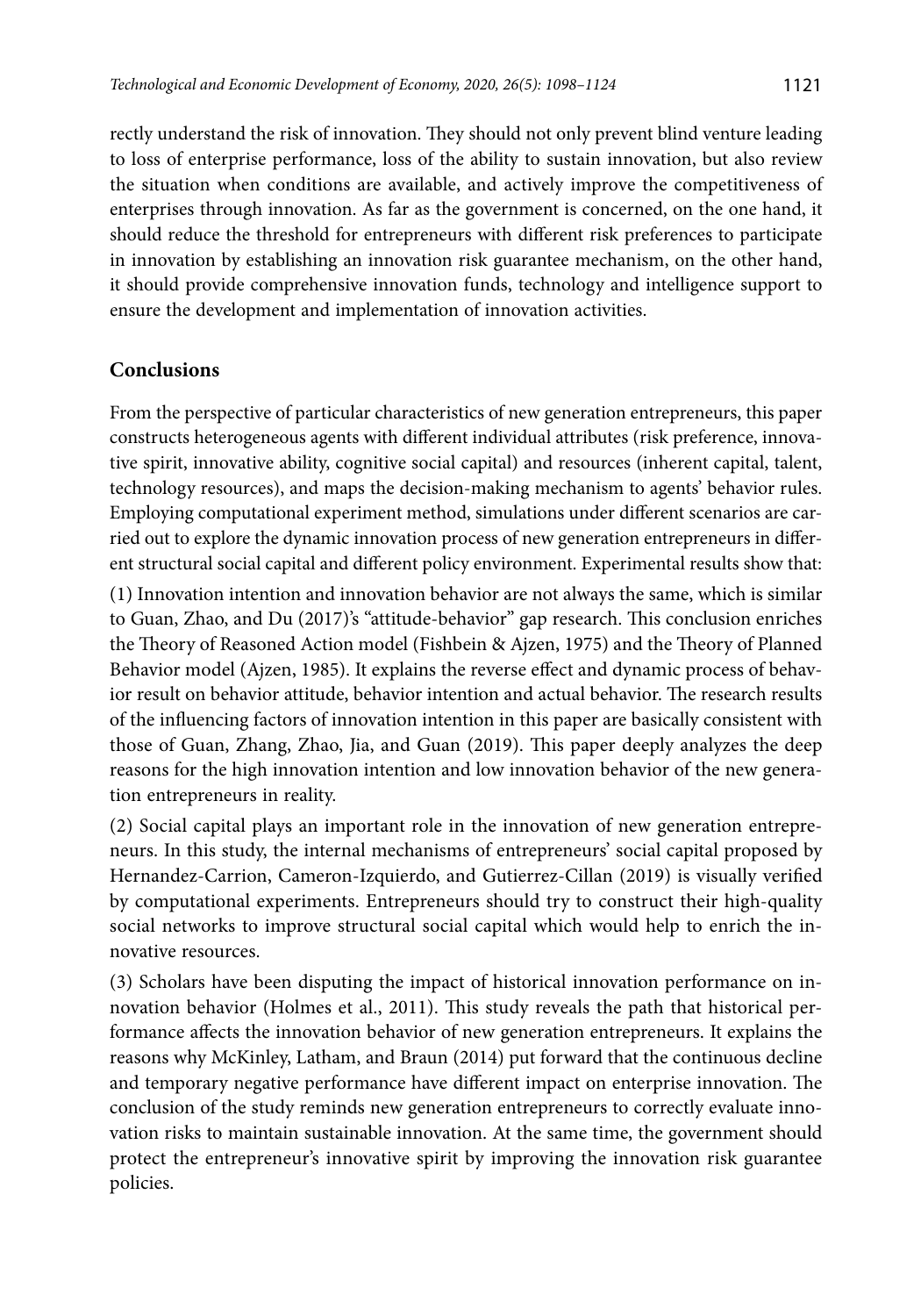rectly understand the risk of innovation. They should not only prevent blind venture leading to loss of enterprise performance, loss of the ability to sustain innovation, but also review the situation when conditions are available, and actively improve the competitiveness of enterprises through innovation. As far as the government is concerned, on the one hand, it should reduce the threshold for entrepreneurs with different risk preferences to participate in innovation by establishing an innovation risk guarantee mechanism, on the other hand, it should provide comprehensive innovation funds, technology and intelligence support to ensure the development and implementation of innovation activities.

# **Conclusions**

From the perspective of particular characteristics of new generation entrepreneurs, this paper constructs heterogeneous agents with different individual attributes (risk preference, innovative spirit, innovative ability, cognitive social capital) and resources (inherent capital, talent, technology resources), and maps the decision-making mechanism to agents' behavior rules. Employing computational experiment method, simulations under different scenarios are carried out to explore the dynamic innovation process of new generation entrepreneurs in different structural social capital and different policy environment. Experimental results show that:

(1) Innovation intention and innovation behavior are not always the same, which is similar to Guan, Zhao, and Du (2017)'s "attitude-behavior" gap research. This conclusion enriches the Theory of Reasoned Action model (Fishbein & Ajzen, 1975) and the Theory of Planned Behavior model (Ajzen, 1985). It explains the reverse effect and dynamic process of behavior result on behavior attitude, behavior intention and actual behavior. The research results of the influencing factors of innovation intention in this paper are basically consistent with those of Guan, Zhang, Zhao, Jia, and Guan (2019). This paper deeply analyzes the deep reasons for the high innovation intention and low innovation behavior of the new generation entrepreneurs in reality.

(2) Social capital plays an important role in the innovation of new generation entrepreneurs. In this study, the internal mechanisms of entrepreneurs' social capital proposed by Hernandez-Carrion, Cameron-Izquierdo, and Gutierrez-Cillan (2019) is visually verified by computational experiments. Entrepreneurs should try to construct their high-quality social networks to improve structural social capital which would help to enrich the innovative resources.

(3) Scholars have been disputing the impact of historical innovation performance on innovation behavior (Holmes et al., 2011). This study reveals the path that historical performance affects the innovation behavior of new generation entrepreneurs. It explains the reasons why McKinley, Latham, and Braun (2014) put forward that the continuous decline and temporary negative performance have different impact on enterprise innovation. The conclusion of the study reminds new generation entrepreneurs to correctly evaluate innovation risks to maintain sustainable innovation. At the same time, the government should protect the entrepreneur's innovative spirit by improving the innovation risk guarantee policies.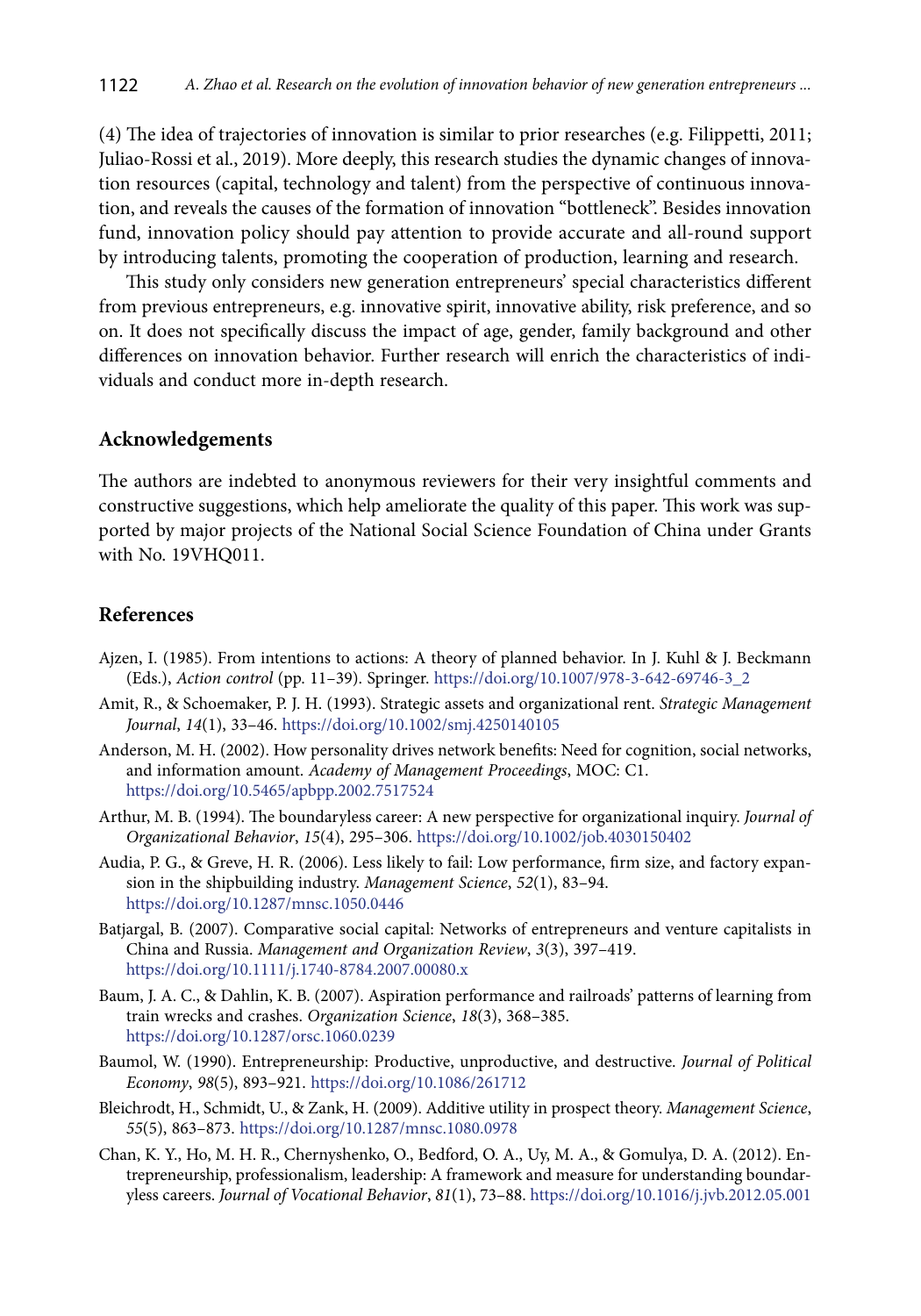(4) The idea of trajectories of innovation is similar to prior researches (e.g. Filippetti, 2011; Juliao-Rossi et al., 2019). More deeply, this research studies the dynamic changes of innovation resources (capital, technology and talent) from the perspective of continuous innovation, and reveals the causes of the formation of innovation "bottleneck". Besides innovation fund, innovation policy should pay attention to provide accurate and all-round support by introducing talents, promoting the cooperation of production, learning and research.

This study only considers new generation entrepreneurs' special characteristics different from previous entrepreneurs, e.g. innovative spirit, innovative ability, risk preference, and so on. It does not specifically discuss the impact of age, gender, family background and other differences on innovation behavior. Further research will enrich the characteristics of individuals and conduct more in-depth research.

### **Acknowledgements**

The authors are indebted to anonymous reviewers for their very insightful comments and constructive suggestions, which help ameliorate the quality of this paper. This work was supported by major projects of the National Social Science Foundation of China under Grants with No. 19VHQ011.

## **References**

- Ajzen, I. (1985). From intentions to actions: A theory of planned behavior. In J. Kuhl & J. Beckmann (Eds.), *Action control* (pp. 11–39). Springer. [https://doi.org/10.1007/978-3-642-69746-3\\_2](https://doi.org/10.1007/978-3-642-69746-3_2)
- Amit, R., & Schoemaker, P. J. H. (1993). Strategic assets and organizational rent. *Strategic Management Journal*, *14*(1), 33–46. <https://doi.org/10.1002/smj.4250140105>
- Anderson, M. H. (2002). How personality drives network benefits: Need for cognition, social networks, and information amount. *Academy of Management Proceedings*, MOC: C1. <https://doi.org/10.5465/apbpp.2002.7517524>
- Arthur, M. B. (1994). The boundaryless career: A new perspective for organizational inquiry. *Journal of Organizational Behavior*, *15*(4), 295–306. <https://doi.org/10.1002/job.4030150402>
- Audia, P. G., & Greve, H. R. (2006). Less likely to fail: Low performance, firm size, and factory expansion in the shipbuilding industry. *Management Science*, *52*(1), 83–94. <https://doi.org/10.1287/mnsc.1050.0446>
- Batjargal, B. (2007). Comparative social capital: Networks of entrepreneurs and venture capitalists in China and Russia. *Management and Organization Review*, *3*(3), 397–419. <https://doi.org/10.1111/j.1740-8784.2007.00080.x>
- Baum, J. A. C., & Dahlin, K. B. (2007). Aspiration performance and railroads' patterns of learning from train wrecks and crashes. *Organization Science*, *18*(3), 368–385. <https://doi.org/10.1287/orsc.1060.0239>
- Baumol, W. (1990). Entrepreneurship: Productive, unproductive, and destructive. *Journal of Political Economy*, *98*(5), 893–921. <https://doi.org/10.1086/261712>
- Bleichrodt, H., Schmidt, U., & Zank, H. (2009). Additive utility in prospect theory. *Management Science*, *55*(5), 863–873. <https://doi.org/10.1287/mnsc.1080.0978>
- Chan, K. Y., Ho, M. H. R., Chernyshenko, O., Bedford, O. A., Uy, M. A., & Gomulya, D. A. (2012). Entrepreneurship, professionalism, leadership: A framework and measure for understanding boundaryless careers. *Journal of Vocational Behavior*, *81*(1), 73–88.<https://doi.org/10.1016/j.jvb.2012.05.001>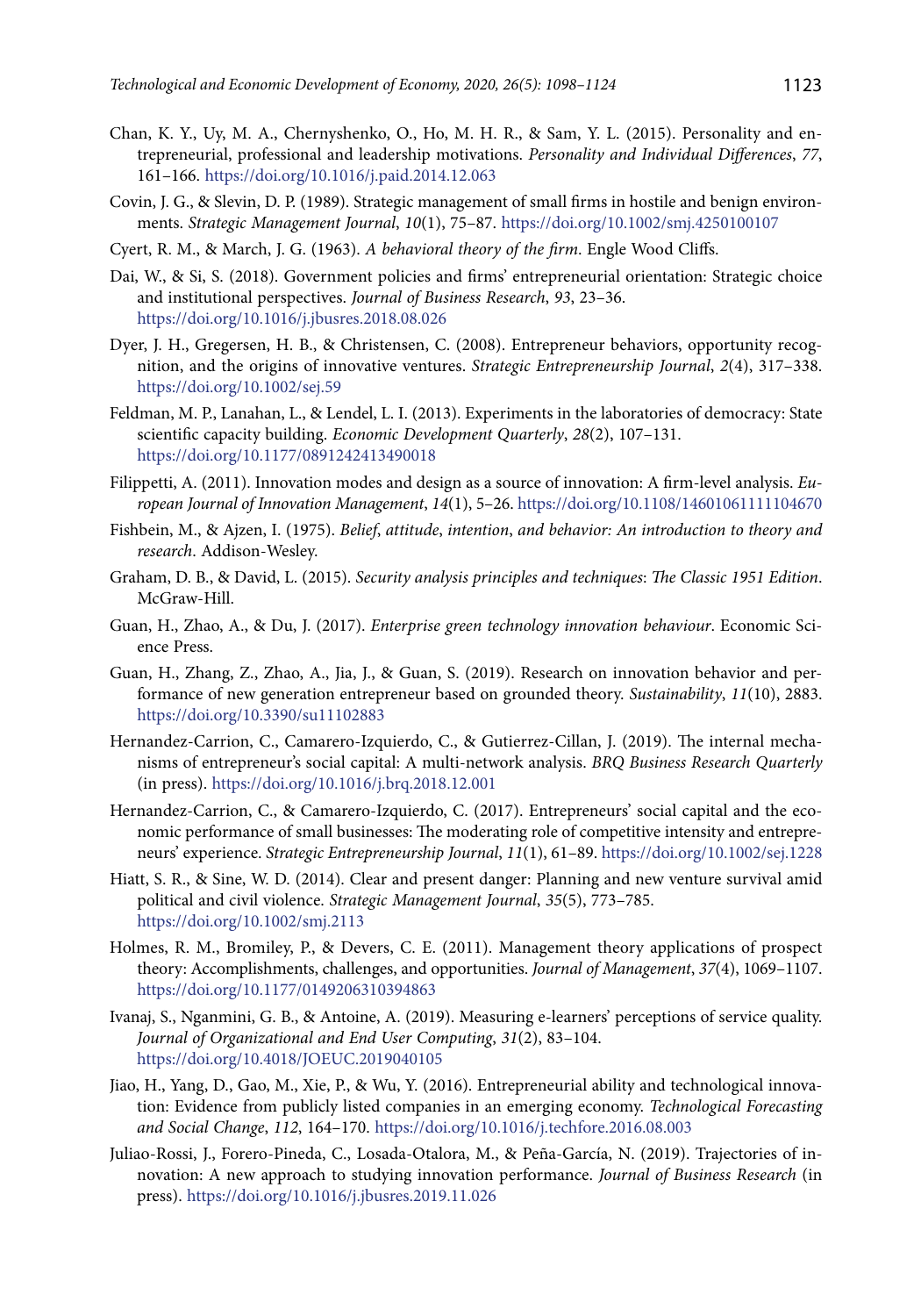- Chan, K. Y., Uy, M. A., Chernyshenko, O., Ho, M. H. R., & Sam, Y. L. (2015). Personality and entrepreneurial, professional and leadership motivations. *Personality and Individual Differences*, *77*, 161–166. <https://doi.org/10.1016/j.paid.2014.12.063>
- Covin, J. G., & Slevin, D. P. (1989). Strategic management of small firms in hostile and benign environments. *Strategic Management Journal*, *10*(1), 75–87. https://doi.org/10.1002/smj.4250100107
- Cyert, R. M., & March, J. G. (1963). *A behavioral theory of the firm*. Engle Wood Cliffs.
- Dai, W., & Si, S. (2018). Government policies and firms' entrepreneurial orientation: Strategic choice and institutional perspectives. *Journal of Business Research*, *93*, 23–36. <https://doi.org/10.1016/j.jbusres.2018.08.026>
- Dyer, J. H., Gregersen, H. B., & Christensen, C. (2008). Entrepreneur behaviors, opportunity recognition, and the origins of innovative ventures. *Strategic Entrepreneurship Journal*, *2*(4), 317–338. <https://doi.org/10.1002/sej.59>
- Feldman, M. P., Lanahan, L., & Lendel, L. I. (2013). Experiments in the laboratories of democracy: State scientific capacity building. *Economic Development Quarterly*, *28*(2), 107–131. <https://doi.org/10.1177/0891242413490018>
- Filippetti, A. (2011). Innovation modes and design as a source of innovation: A firm-level analysis. *European Journal of Innovation Management*, *14*(1), 5–26. <https://doi.org/10.1108/14601061111104670>
- Fishbein, M., & Ajzen, I. (1975). *Belief*, *attitude*, *intention*, *and behavior: An introduction to theory and research*. Addison-Wesley.
- Graham, D. B., & David, L. (2015). *Security analysis principles and techniques*: *The Classic 1951 Edition*. McGraw-Hill.
- Guan, H., Zhao, A., & Du, J. (2017). *Enterprise green technology innovation behaviour*. Economic Science Press.
- Guan, H., Zhang, Z., Zhao, A., Jia, J., & Guan, S. (2019). Research on innovation behavior and performance of new generation entrepreneur based on grounded theory. *Sustainability*, *11*(10), 2883. <https://doi.org/10.3390/su11102883>
- Hernandez-Carrion, C., Camarero-Izquierdo, C., & Gutierrez-Cillan, J. (2019). The internal mechanisms of entrepreneur's social capital: A multi-network analysis. *BRQ Business Research Quarterly* (in press). <https://doi.org/10.1016/j.brq.2018.12.001>
- Hernandez-Carrion, C., & Camarero-Izquierdo, C. (2017). Entrepreneurs' social capital and the economic performance of small businesses: The moderating role of competitive intensity and entrepreneurs' experience. *Strategic Entrepreneurship Journal*, *11*(1), 61–89.<https://doi.org/10.1002/sej.1228>
- Hiatt, S. R., & Sine, W. D. (2014). Clear and present danger: Planning and new venture survival amid political and civil violence. *Strategic Management Journal*, *35*(5), 773–785. <https://doi.org/10.1002/smj.2113>
- Holmes, R. M., Bromiley, P., & Devers, C. E. (2011). Management theory applications of prospect theory: Accomplishments, challenges, and opportunities. *Journal of Management*, *37*(4), 1069–1107. <https://doi.org/10.1177/0149206310394863>
- Ivanaj, S., Nganmini, G. B., & Antoine, A. (2019). Measuring e-learners' perceptions of service quality. *Journal of Organizational and End User Computing*, *31*(2), 83–104. <https://doi.org/10.4018/JOEUC.2019040105>
- Jiao, H., Yang, D., Gao, M., Xie, P., & Wu, Y. (2016). Entrepreneurial ability and technological innovation: Evidence from publicly listed companies in an emerging economy. *Technological Forecasting and Social Change*, *112*, 164–170. <https://doi.org/10.1016/j.techfore.2016.08.003>
- Juliao-Rossi, J., Forero-Pineda, C., Losada-Otalora, M., & Peña-García, N. (2019). Trajectories of innovation: A new approach to studying innovation performance. *Journal of Business Research* (in press). <https://doi.org/10.1016/j.jbusres.2019.11.026>